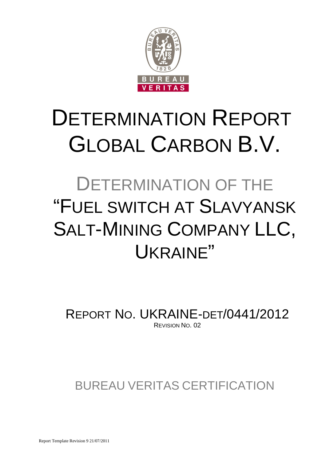

# DETERMINATION REPORT GLOBAL CARBON B.V.

# DETERMINATION OF THE "FUEL SWITCH AT SLAVYANSK SALT-MINING COMPANY LLC, UKRAINE"

REPORT NO. UKRAINE-DET/0441/2012 REVISION NO. 02

BUREAU VERITAS CERTIFICATION

Report Template Revision 9 21/07/2011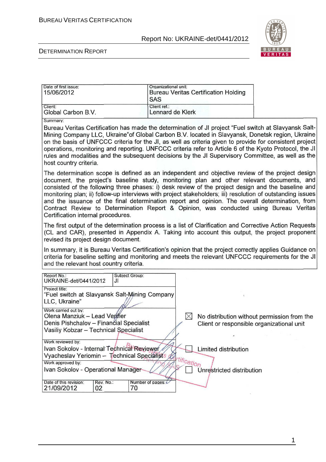

#### DETERMINATION REPORT

| Date of first issue:<br>15/06/2012 | Organizational unit:<br>Bureau Veritas Certification Holding<br><b>SAS</b> |
|------------------------------------|----------------------------------------------------------------------------|
| Client:                            | Client ref.:                                                               |
| Global Carbon B.V.                 | Lennard de Klerk                                                           |

Summary:

Bureau Veritas Certification has made the determination of JI project "Fuel switch at Slavyansk Salt-Mining Company LLC, Ukraine" of Global Carbon B.V. located in Slavyansk, Donetsk region, Ukraine on the basis of UNFCCC criteria for the JI, as well as criteria given to provide for consistent project operations, monitoring and reporting. UNFCCC criteria refer to Article 6 of the Kyoto Protocol, the JI rules and modalities and the subsequent decisions by the JI Supervisory Committee, as well as the host country criteria.

The determination scope is defined as an independent and objective review of the project design document, the project's baseline study, monitoring plan and other relevant documents, and consisted of the following three phases: i) desk review of the project design and the baseline and monitoring plan: ii) follow-up interviews with project stakeholders: iii) resolution of outstanding issues and the issuance of the final determination report and opinion. The overall determination, from Contract Review to Determination Report & Opinion, was conducted using Bureau Veritas Certification internal procedures.

The first output of the determination process is a list of Clarification and Corrective Action Requests (CL and CAR), presented in Appendix A. Taking into account this output, the project proponent revised its project design document.

In summary, it is Bureau Veritas Certification's opinion that the project correctly applies Guidance on criteria for baseline setting and monitoring and meets the relevant UNFCCC requirements for the JI and the relevant host country criteria.

| Report No.:<br>UKRAINE-det/0441/2012                      | Subject Group:<br>JI           |  |                                             |
|-----------------------------------------------------------|--------------------------------|--|---------------------------------------------|
| Project title:                                            |                                |  |                                             |
| Fuel switch at Slavyansk Salt-Mining Company"             |                                |  |                                             |
| LLC, Ukraine"                                             |                                |  |                                             |
| Work carried out by:                                      |                                |  |                                             |
| Olena Manziuk - Lead Verifier                             |                                |  | No distribution without permission from the |
| Denis Pishchalov - Finančial Specialist                   |                                |  | Client or responsible organizational unit   |
| Vasiliy Kobzar - Technical Specialist                     |                                |  |                                             |
|                                                           |                                |  |                                             |
| Work reviewed by:                                         |                                |  |                                             |
| Ivan Sokolov - Internal Technical Reviewer                |                                |  | Limited distribution                        |
| Vyacheslav Yeriomin -- Technical Specialists $\mathscr U$ |                                |  |                                             |
| <sup>Artification</sup><br>Work approved by:              |                                |  |                                             |
| Ivan Sokolov - Operational Manager                        |                                |  | <b>Unrestricted distribution</b>            |
|                                                           |                                |  |                                             |
| Rev. No.:<br>Date of this revision:                       | Number of pages: $\mathcal{L}$ |  |                                             |
| 21/09/2012<br>02                                          | 70                             |  |                                             |

1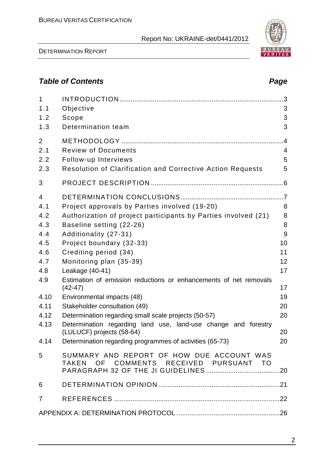DETERMINATION REPORT

# **Table of Contents Page 2014**

| $\mathbf{1}$<br>1.1<br>1.2<br>1.3                                                                             | Objective<br>Scope<br>Determination team                                                                                                                                                                                                                                                                                                                                                                                                                                                                                                           | 3<br>3<br>3                                                      |
|---------------------------------------------------------------------------------------------------------------|----------------------------------------------------------------------------------------------------------------------------------------------------------------------------------------------------------------------------------------------------------------------------------------------------------------------------------------------------------------------------------------------------------------------------------------------------------------------------------------------------------------------------------------------------|------------------------------------------------------------------|
| 2<br>2.1<br>2.2<br>2.3                                                                                        | <b>Review of Documents</b><br>Follow-up Interviews<br><b>Resolution of Clarification and Corrective Action Requests</b>                                                                                                                                                                                                                                                                                                                                                                                                                            | $\overline{A}$<br>4<br>5<br>5                                    |
| 3                                                                                                             |                                                                                                                                                                                                                                                                                                                                                                                                                                                                                                                                                    |                                                                  |
| $\overline{4}$<br>4.1<br>4.2<br>4.3<br>4.4<br>4.5<br>4.6<br>4.7<br>4.8<br>4.9<br>4.10<br>4.11<br>4.12<br>4.13 | Project approvals by Parties involved (19-20)<br>Authorization of project participants by Parties involved (21)<br>Baseline setting (22-26)<br>Additionality (27-31)<br>Project boundary (32-33)<br>Crediting period (34)<br>Monitoring plan (35-39)<br>Leakage (40-41)<br>Estimation of emission reductions or enhancements of net removals<br>$(42-47)$<br>Environmental impacts (48)<br>Stakeholder consultation (49)<br>Determination regarding small scale projects (50-57)<br>Determination regarding land use, land-use change and forestry | 8<br>8<br>8<br>9<br>10<br>11<br>12<br>17<br>17<br>19<br>20<br>20 |
|                                                                                                               | (LULUCF) projects (58-64)                                                                                                                                                                                                                                                                                                                                                                                                                                                                                                                          | 20                                                               |
| 4.14                                                                                                          | Determination regarding programmes of activities (65-73)                                                                                                                                                                                                                                                                                                                                                                                                                                                                                           | 20                                                               |
| 5                                                                                                             | SUMMARY AND REPORT OF HOW DUE ACCOUNT WAS<br>TAKEN OF COMMENTS RECEIVED PURSUANT TO                                                                                                                                                                                                                                                                                                                                                                                                                                                                |                                                                  |
| 6                                                                                                             |                                                                                                                                                                                                                                                                                                                                                                                                                                                                                                                                                    |                                                                  |
| $\overline{7}$                                                                                                |                                                                                                                                                                                                                                                                                                                                                                                                                                                                                                                                                    |                                                                  |
|                                                                                                               |                                                                                                                                                                                                                                                                                                                                                                                                                                                                                                                                                    |                                                                  |

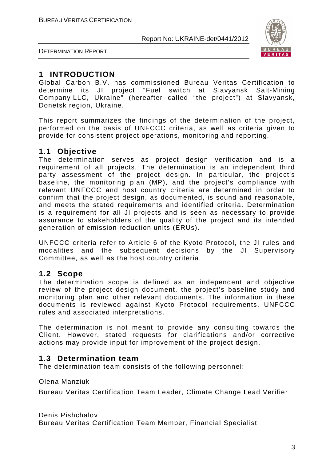

DETERMINATION REPORT

# **1 INTRODUCTION**

Global Carbon B.V. has commissioned Bureau Veritas Certification to determine its JI project "Fuel switch at Slavyansk Salt-Mining Company LLC, Ukraine" (hereafter called "the project") at Slavyansk, Donetsk region, Ukraine.

This report summarizes the findings of the determination of the project, performed on the basis of UNFCCC criteria, as well as criteria given to provide for consistent project operations, monitoring and reporting.

## **1.1 Objective**

The determination serves as project design verification and is a requirement of all projects. The determination is an independent third party assessment of the project design. In particular, the project's baseline, the monitoring plan (MP), and the project's compliance with relevant UNFCCC and host country criteria are determined in order to confirm that the project design, as documented, is sound and reasonable, and meets the stated requirements and identified criteria. Determination is a requirement for all JI projects and is seen as necessary to provide assurance to stakeholders of the quality of the project and its intended generation of emission reduction units (ERUs).

UNFCCC criteria refer to Article 6 of the Kyoto Protocol, the JI rules and modalities and the subsequent decisions by the JI Supervisory Committee, as well as the host country criteria.

## **1.2 Scope**

The determination scope is defined as an independent and objective review of the project design document, the project's baseline study and monitoring plan and other relevant documents. The information in these documents is reviewed against Kyoto Protocol requirements, UNFCCC rules and associated interpretations.

The determination is not meant to provide any consulting towards the Client. However, stated requests for clarifications and/or corrective actions may provide input for improvement of the project design.

## **1.3 Determination team**

The determination team consists of the following personnel:

Olena Manziuk

Bureau Veritas Certification Team Leader, Climate Change Lead Verifier

Denis Pishchalov

Bureau Veritas Certification Team Member, Financial Specialist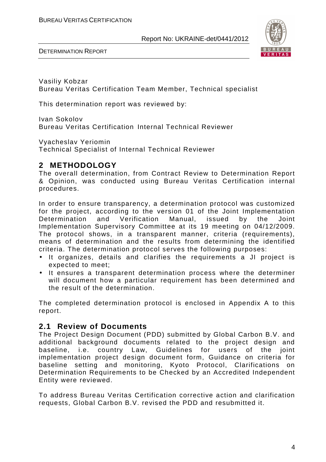

DETERMINATION REPORT

Vasiliy Kobzar Bureau Veritas Certification Team Member, Technical specialist

This determination report was reviewed by:

Ivan Sokolov Bureau Veritas Certification Internal Technical Reviewer

Vyacheslav Yeriomin

Technical Specialist of Internal Technical Reviewer

## **2 METHODOLOGY**

The overall determination, from Contract Review to Determination Report & Opinion, was conducted using Bureau Veritas Certification internal procedures.

In order to ensure transparency, a determination protocol was customized for the project, according to the version 01 of the Joint Implementation Determination and Verification Manual, issued by the Joint Implementation Supervisory Committee at its 19 meeting on 04/12/2009. The protocol shows, in a transparent manner, criteria (requirements), means of determination and the results from determining the identified criteria. The determination protocol serves the following purposes:

- It organizes, details and clarifies the requirements a JI project is expected to meet;
- It ensures a transparent determination process where the determiner will document how a particular requirement has been determined and the result of the determination.

The completed determination protocol is enclosed in Appendix A to this report.

## **2.1 Review of Documents**

The Project Design Document (PDD) submitted by Global Carbon B.V. and additional background documents related to the project design and baseline, i.e. country Law, Guidelines for users of the joint implementation project design document form, Guidance on criteria for baseline setting and monitoring, Kyoto Protocol, Clarifications on Determination Requirements to be Checked by an Accredited Independent Entity were reviewed.

To address Bureau Veritas Certification corrective action and clarification requests, Global Carbon B.V. revised the PDD and resubmitted it.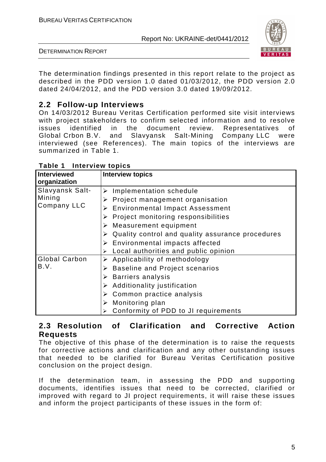

DETERMINATION REPORT

The determination findings presented in this report relate to the project as described in the PDD version 1.0 dated 01/03/2012, the PDD version 2.0 dated 24/04/2012, and the PDD version 3.0 dated 19/09/2012.

# **2.2 Follow-up Interviews**

On 14/03/2012 Bureau Veritas Certification performed site visit interviews with project stakeholders to confirm selected information and to resolve issues identified in the document review. Representatives of Global Crbon B.V. and Slavyansk Salt-Mining Company LLC were interviewed (see References). The main topics of the interviews are summarized in Table 1.

| <b>Interviewed</b> | <b>Interview topics</b>                                           |
|--------------------|-------------------------------------------------------------------|
| organization       |                                                                   |
| Slavyansk Salt-    | $\triangleright$ Implementation schedule                          |
| Mining             | Project management organisation                                   |
| Company LLC        | $\triangleright$ Environmental Impact Assessment                  |
|                    | $\triangleright$ Project monitoring responsibilities              |
|                    | $\triangleright$ Measurement equipment                            |
|                    | $\triangleright$ Quality control and quality assurance procedures |
|                    | $\triangleright$ Environmental impacts affected                   |
|                    | Local authorities and public opinion                              |
| Global Carbon      | $\triangleright$ Applicability of methodology                     |
| B.V.               | <b>Baseline and Project scenarios</b>                             |
|                    | $\triangleright$ Barriers analysis                                |
|                    | $\triangleright$ Additionality justification                      |
|                    | $\triangleright$ Common practice analysis                         |
|                    | Monitoring plan                                                   |
|                    | Conformity of PDD to JI requirements                              |

**Table 1 Interview topics** 

## **2.3 Resolution of Clarification and Corrective Action Requests**

The objective of this phase of the determination is to raise the requests for corrective actions and clarification and any other outstanding issues that needed to be clarified for Bureau Veritas Certification positive conclusion on the project design.

If the determination team, in assessing the PDD and supporting documents, identifies issues that need to be corrected, clarified or improved with regard to JI project requirements, it will raise these issues and inform the project participants of these issues in the form of: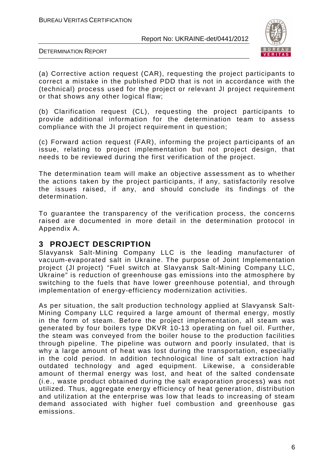

DETERMINATION REPORT

(a) Corrective action request (CAR), requesting the project participants to correct a mistake in the published PDD that is not in accordance with the (technical) process used for the project or relevant JI project requirement or that shows any other logical flaw;

(b) Clarification request (CL), requesting the project participants to provide additional information for the determination team to assess compliance with the JI project requirement in question;

(c) Forward action request (FAR), informing the project participants of an issue, relating to project implementation but not project design, that needs to be reviewed during the first verification of the project.

The determination team will make an objective assessment as to whether the actions taken by the project participants, if any, satisfactorily resolve the issues raised, if any, and should conclude its findings of the determination.

To guarantee the transparency of the verification process, the concerns raised are documented in more detail in the determination protocol in Appendix A.

## **3 PROJECT DESCRIPTION**

Slavyansk Salt-Mining Company LLC is the leading manufacturer of vacuum-evaporated salt in Ukraine. The purpose of Joint Implementation project (JI project) "Fuel switch at Slavyansk Salt-Mining Company LLC, Ukraine" is reduction of greenhouse gas emissions into the atmosphere by switching to the fuels that have lower greenhouse potential, and through implementation of energy-efficiency modernization activities.

As per situation, the salt production technology applied at Slavyansk Salt-Mining Company LLC required a large amount of thermal energy, mostly in the form of steam. Before the project implementation, all steam was generated by four boilers type DKVR 10-13 operating on fuel oil. Further, the steam was conveyed from the boiler house to the production facilities through pipeline. The pipeline was outworn and poorly insulated, that is why a large amount of heat was lost during the transportation, especially in the cold period. In addition technological line of salt extraction had outdated technology and aged equipment. Likewise, a considerable amount of thermal energy was lost, and heat of the salted condensate (i.e., waste product obtained during the salt evaporation process) was not utilized. Thus, aggregate energy efficiency of heat generation, distribution and utilization at the enterprise was low that leads to increasing of steam demand associated with higher fuel combustion and greenhouse gas emissions.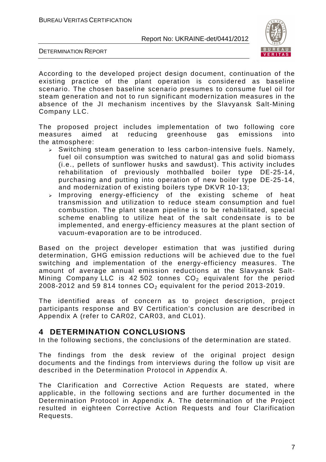

DETERMINATION REPORT

According to the developed project design document, continuation of the existing practice of the plant operation is considered as baseline scenario. The chosen baseline scenario presumes to consume fuel oil for steam generation and not to run significant modernization measures in the absence of the JI mechanism incentives by the Slavyansk Salt-Mining Company LLC.

The proposed project includes implementation of two following core measures aimed at reducing greenhouse gas emissions into the atmosphere:

- $\triangleright$  Switching steam generation to less carbon-intensive fuels. Namely, fuel oil consumption was switched to natural gas and solid biomass (i.e., pellets of sunflower husks and sawdust). This activity includes rehabilitation of previously mothballed boiler type DE-25-14, purchasing and putting into operation of new boiler type DE-25-14, and modernization of existing boilers type DKVR 10-13;
- $>$  Improving energy-efficiency of the existing scheme of heat transmission and utilization to reduce steam consumption and fuel combustion. The plant steam pipeline is to be rehabilitated, special scheme enabling to utilize heat of the salt condensate is to be implemented, and energy-efficiency measures at the plant section of vacuum-evaporation are to be introduced.

Based on the project developer estimation that was justified during determination, GHG emission reductions will be achieved due to the fuel switching and implementation of the energy-efficiency measures. The amount of average annual emission reductions at the Slavyansk Salt-Mining Company LLC is 42 502 tonnes  $CO<sub>2</sub>$  equivalent for the period 2008-2012 and 59 814 tonnes  $CO<sub>2</sub>$  equivalent for the period 2013-2019.

The identified areas of concern as to project description, project participants response and BV Certification's conclusion are described in Appendix A (refer to CAR02, CAR03, and CL01).

## **4 DETERMINATION CONCLUSIONS**

In the following sections, the conclusions of the determination are stated.

The findings from the desk review of the original project design documents and the findings from interviews during the follow up visit are described in the Determination Protocol in Appendix A.

The Clarification and Corrective Action Requests are stated, where applicable, in the following sections and are further documented in the Determination Protocol in Appendix A. The determination of the Project resulted in eighteen Corrective Action Requests and four Clarification Requests.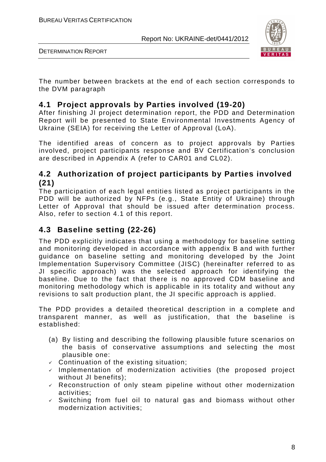

DETERMINATION REPORT

The number between brackets at the end of each section corresponds to the DVM paragraph

## **4.1 Project approvals by Parties involved (19-20)**

After finishing JI project determination report, the PDD and Determination Report will be presented to State Environmental Investments Agency of Ukraine (SEIA) for receiving the Letter of Approval (LoA).

The identified areas of concern as to project approvals by Parties involved, project participants response and BV Certification's conclusion are described in Appendix A (refer to CAR01 and CL02).

## **4.2 Authorization of project participants by Parties involved (21)**

The participation of each legal entities listed as project participants in the PDD will be authorized by NFPs (e.g., State Entity of Ukraine) through Letter of Approval that should be issued after determination process. Also, refer to section 4.1 of this report.

# **4.3 Baseline setting (22-26)**

The PDD explicitly indicates that using a methodology for baseline setting and monitoring developed in accordance with appendix B and with further guidance on baseline setting and monitoring developed by the Joint Implementation Supervisory Committee (JISC) (hereinafter referred to as JI specific approach) was the selected approach for identifying the baseline. Due to the fact that there is no approved CDM baseline and monitoring methodology which is applicable in its totality and without any revisions to salt production plant, the JI specific approach is applied.

The PDD provides a detailed theoretical description in a complete and transparent manner, as well as justification, that the baseline is established:

- (a) By listing and describing the following plausible future scenarios on the basis of conservative assumptions and selecting the most plausible one:
- $\checkmark$  Continuation of the existing situation;
- $\checkmark$  Implementation of modernization activities (the proposed project without JI benefits);
- $\sqrt{ }$  Reconstruction of only steam pipeline without other modernization activities;
- $\checkmark$  Switching from fuel oil to natural gas and biomass without other modernization activities;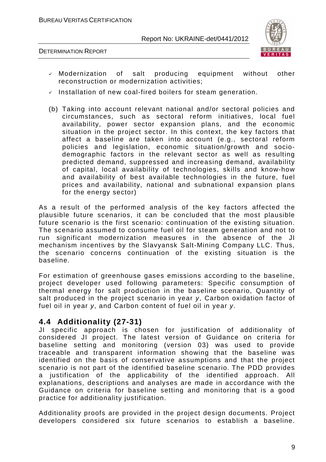



- Modernization of salt producing equipment without other reconstruction or modernization activities;
- $\checkmark$  Installation of new coal-fired boilers for steam generation.
- (b) Taking into account relevant national and/or sectoral policies and circumstances, such as sectoral reform initiatives, local fuel availability, power sector expansion plans, and the economic situation in the project sector. In this context, the key factors that affect a baseline are taken into account (e.g., sectoral reform policies and legislation, economic situation/growth and sociodemographic factors in the relevant sector as well as resulting predicted demand, suppressed and increasing demand, availability of capital, local availability of technologies, skills and know-how and availability of best available technologies in the future, fuel prices and availability, national and subnational expansion plans for the energy sector)

As a result of the performed analysis of the key factors affected the plausible future scenarios, it can be concluded that the most plausible future scenario is the first scenario: continuation of the existing situation. The scenario assumed to consume fuel oil for steam generation and not to run significant modernization measures in the absence of the JI mechanism incentives by the Slavyansk Salt-Mining Company LLC. Thus, the scenario concerns continuation of the existing situation is the baseline.

For estimation of greenhouse gases emissions according to the baseline, project developer used following parameters: Specific consumption of thermal energy for salt production in the baseline scenario, Quantity of salt produced in the project scenario in year y. Carbon oxidation factor of fuel oil in year y, and Carbon content of fuel oil in year y.

## **4.4 Additionality (27-31)**

JI specific approach is chosen for justification of additionality of considered JI project. The latest version of Guidance on criteria for baseline setting and monitoring (version 03) was used to provide traceable and transparent information showing that the baseline was identified on the basis of conservative assumptions and that the project scenario is not part of the identified baseline scenario. The PDD provides a justification of the applicability of the identified approach. All explanations, descriptions and analyses are made in accordance with the Guidance on criteria for baseline setting and monitoring that is a good practice for additionality justification.

Additionality proofs are provided in the project design documents. Project developers considered six future scenarios to establish a baseline.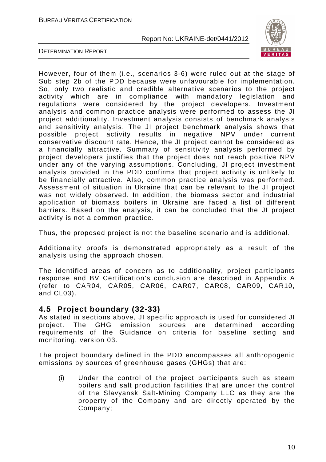

DETERMINATION REPORT

However, four of them (i.e., scenarios 3-6) were ruled out at the stage of Sub step 2b of the PDD because were unfavourable for implementation. So, only two realistic and credible alternative scenarios to the project activity which are in compliance with mandatory legislation and regulations were considered by the project developers. Investment analysis and common practice analysis were performed to assess the JI project additionality. Investment analysis consists of benchmark analysis and sensitivity analysis. The JI project benchmark analysis shows that possible project activity results in negative NPV under current conservative discount rate. Hence, the JI project cannot be considered as a financially attractive. Summary of sensitivity analysis performed by project developers justifies that the project does not reach positive NPV under any of the varying assumptions. Concluding, JI project investment analysis provided in the PDD confirms that project activity is unlikely to be financially attractive. Also, common practice analysis was performed. Assessment of situation in Ukraine that can be relevant to the JI project was not widely observed. In addition, the biomass sector and industrial application of biomass boilers in Ukraine are faced a list of different barriers. Based on the analysis, it can be concluded that the JI project activity is not a common practice.

Thus, the proposed project is not the baseline scenario and is additional.

Additionality proofs is demonstrated appropriately as a result of the analysis using the approach chosen.

The identified areas of concern as to additionality, project participants response and BV Certification's conclusion are described in Appendix A (refer to CAR04, CAR05, CAR06, CAR07, CAR08, CAR09, CAR10, and CL03).

## **4.5 Project boundary (32-33)**

As stated in sections above, JI specific approach is used for considered JI project. The GHG emission sources are determined according requirements of the Guidance on criteria for baseline setting and monitoring, version 03.

The project boundary defined in the PDD encompasses all anthropogenic emissions by sources of greenhouse gases (GHGs) that are:

(i) Under the control of the project participants such as steam boilers and salt production facilities that are under the control of the Slavyansk Salt-Mining Company LLC as they are the property of the Company and are directly operated by the Company;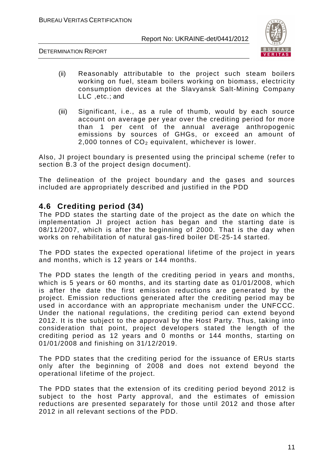

DETERMINATION REPORT

- (ii) Reasonably attributable to the project such steam boilers working on fuel, steam boilers working on biomass, electricity consumption devices at the Slavyansk Salt-Mining Company LLC ,etc.; and
- (iii) Significant, i.e., as a rule of thumb, would by each source account on average per year over the crediting period for more than 1 per cent of the annual average anthropogenic emissions by sources of GHGs, or exceed an amount of 2,000 tonnes of  $CO<sub>2</sub>$  equivalent, whichever is lower.

Also, JI project boundary is presented using the principal scheme (refer to section B.3 of the project design document).

The delineation of the project boundary and the gases and sources included are appropriately described and justified in the PDD

## **4.6 Crediting period (34)**

The PDD states the starting date of the project as the date on which the implementation JI project action has began and the starting date is 08/11/2007, which is after the beginning of 2000. That is the day when works on rehabilitation of natural gas-fired boiler DE-25-14 started.

The PDD states the expected operational lifetime of the project in years and months, which is 12 years or 144 months.

The PDD states the length of the crediting period in years and months, which is 5 years or 60 months, and its starting date as 01/01/2008, which is after the date the first emission reductions are generated by the project. Emission reductions generated after the crediting period may be used in accordance with an appropriate mechanism under the UNFCCC. Under the national regulations, the crediting period can extend beyond 2012. It is the subject to the approval by the Host Party. Thus, taking into consideration that point, project developers stated the length of the crediting period as 12 years and 0 months or 144 months, starting on 01/01/2008 and finishing on 31/12/2019.

The PDD states that the crediting period for the issuance of ERUs starts only after the beginning of 2008 and does not extend beyond the operational lifetime of the project.

The PDD states that the extension of its crediting period beyond 2012 is subject to the host Party approval, and the estimates of emission reductions are presented separately for those until 2012 and those after 2012 in all relevant sections of the PDD.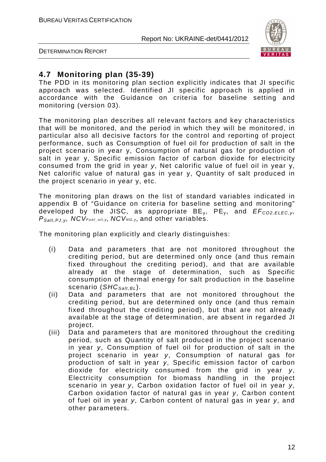

DETERMINATION REPORT

## **4.7 Monitoring plan (35-39)**

The PDD in its monitoring plan section explicitly indicates that JI specific approach was selected. Identified JI specific approach is applied in accordance with the Guidance on criteria for baseline setting and monitoring (version 03).

The monitoring plan describes all relevant factors and key characteristics that will be monitored, and the period in which they will be monitored, in particular also all decisive factors for the control and reporting of project performance, such as Consumption of fuel oil for production of salt in the project scenario in year y, Consumption of natural gas for production of salt in year у, Specific emission factor of carbon dioxide for electricity consumed from the grid in year y, Net calorific value of fuel oil in year у, Net calorific value of natural gas in year y, Quantity of salt produced in the project scenario in year y, etc.

The monitoring plan draws on the list of standard variables indicated in appendix B of "Guidance on criteria for baseline setting and monitoring" developed by the JISC, as appropriate  $BE_v$ ,  $PE_v$ , and  $EF_{CO2.ELEC, V}$  $P_{Salt,PLV}$ , NCV<sub>Fuel\_oil, y</sub>, NCV<sub>NG, y</sub>, and other variables.

The monitoring plan explicitly and clearly distinguishes:

- (i) Data and parameters that are not monitored throughout the crediting period, but are determined only once (and thus remain fixed throughout the crediting period), and that are available already at the stage of determination, such as Specific consumption of thermal energy for salt production in the baseline scenario ( $SHC_{Salt,BI}$ ).
- (ii) Data and parameters that are not monitored throughout the crediting period, but are determined only once (and thus remain fixed throughout the crediting period), but that are not already available at the stage of determination, are absent in regarded JI project.
- (iii) Data and parameters that are monitored throughout the crediting period, such as Quantity of salt produced in the project scenario in year y, Consumption of fuel oil for production of salt in the project scenario in year y, Consumption of natural gas for production of salt in year *у*, Specific emission factor of carbon dioxide for electricity consumed from the grid in year y, Electricity consumption for biomass handling in the project scenario in year y, Carbon oxidation factor of fuel oil in year y, Carbon oxidation factor of natural gas in year y, Carbon content of fuel oil in year y, Carbon content of natural gas in year y, and other parameters.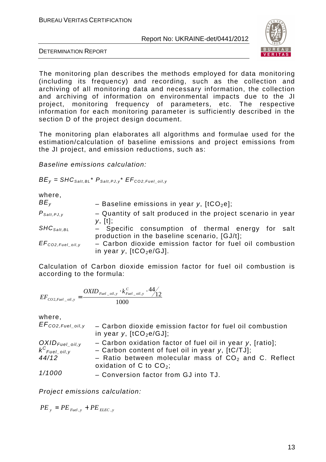

DETERMINATION REPORT

The monitoring plan describes the methods employed for data monitoring (including its frequency) and recording, such as the collection and archiving of all monitoring data and necessary information, the collection and archiving of information on environmental impacts due to the JI project, monitoring frequency of parameters, etc. The respective information for each monitoring parameter is sufficiently described in the section D of the project design document.

The monitoring plan elaborates all algorithms and formulae used for the estimation/calculation of baseline emissions and project emissions from the JI project, and emission reductions, such as:

Baseline emissions calculation:

 $BE_V = SHC_{Salt. BL} * P_{Salt. PJ. v} * EF_{CO2. Fuel}$  oil.y

| where,<br>BE <sub>v</sub>                     | - Baseline emissions in year y, $[1CO2e]$ ;                                                                  |
|-----------------------------------------------|--------------------------------------------------------------------------------------------------------------|
| $P_{\text{Salt},\text{PJ},\text{y}}$          | - Quantity of salt produced in the project scenario in year                                                  |
| $\mathcal{SHC}_{\mathcal{S}alt,\mathcal{BL}}$ | y, [t];<br>- Specific consumption of thermal energy for salt<br>production in the baseline scenario, [GJ/t]; |
| $EF_{CO2, Fuel\_oil, y}$                      | - Carbon dioxide emission factor for fuel oil combustion<br>in year y, $[tCO2e/GJ]$ .                        |

Calculation of Carbon dioxide emission factor for fuel oil combustion is according to the formula:

$$
EF_{CO2, Fuel\_oil, y} = \frac{OXID_{Fuel\_oil, y} \cdot k_{Fuel\_oil, y}^C \cdot 44}{1000}.
$$

where,

| $EF_{CO2, Fuel\_oil,y}$                       | - Carbon dioxide emission factor for fuel oil combustion<br>in year y, $[tCO2e/GJ]$ ; |
|-----------------------------------------------|---------------------------------------------------------------------------------------|
|                                               | - Carbon oxidation factor of fuel oil in year y, [ratio];                             |
| $OXID_{Fuel\_oil,y}$<br>$k^{C}_{Fuel\_oil,y}$ | - Carbon content of fuel oil in year $y$ , $[tC/TJ]$ ;                                |
| 44/12                                         | - Ratio between molecular mass of $CO2$ and C. Reflect<br>oxidation of C to $CO_2$ ;  |
| 1/1000                                        | - Conversion factor from GJ into TJ.                                                  |

Project emissions calculation:

 $PE_y = PE_{Fuel.y} + PE_{E L E C.y}$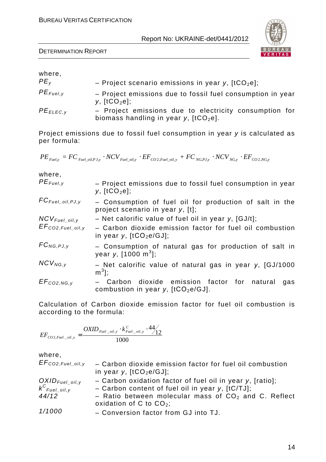|  | Report No: UKRAINE-det/0441/2012 |
|--|----------------------------------|
|--|----------------------------------|

| where,          |                                                                                                   |
|-----------------|---------------------------------------------------------------------------------------------------|
| PE <sub>v</sub> | - Project scenario emissions in year y, $[tCO_2e]$ ;                                              |
| $PE_{Fuel, V}$  | - Project emissions due to fossil fuel consumption in year<br>$y,$ [tCO <sub>2</sub> e];          |
| $PE_{ELEC,V}$   | - Project emissions due to electricity consumption for<br>biomass handling in year y, $[tCO2e]$ . |

Project emissions due to fossil fuel consumption in year y is calculated as per formula:

 $PE_{\mathit{Fuel,y}} = FC_{\mathit{Fuel\_oil}, PJ,y} \cdot NCV_{\mathit{Fuel\_oil}, y} \cdot EF_{\mathit{CO2, Fuel\_oil}, y} + FC_{\mathit{NG, PJ}, y} \cdot NCV_{\mathit{NG, y}} \cdot EF_{\mathit{CO2, NG, y}}$ 

where,

| $PE_{Fuel, y}$           | - Project emissions due to fossil fuel consumption in year<br>y, $[tCO2e]$ ;                                     |
|--------------------------|------------------------------------------------------------------------------------------------------------------|
| $FC_{Fuel\_oil, PJ,y}$   | - Consumption of fuel oil for production of salt in the<br>project scenario in year y, [t];                      |
| $NCV_{Fuel\_oil,y}$      | - Net calorific value of fuel oil in year y, $[GJ/t]$ ;                                                          |
| $EF_{CO2, Fuel\_oil, y}$ | - Carbon dioxide emission factor for fuel oil combustion<br>in year y, $[tCO2e/GJ]$ ;                            |
| $FC_{NG, PJ, y}$         | - Consumption of natural gas for production of salt in<br>year y, $[1000 \text{ m}^3]$ ;                         |
| $NCV_{NG, y}$            | - Net calorific value of natural gas in year y, [GJ/1000<br>$m^3$ ];                                             |
| $EF_{CO2,NG,y}$          | Carbon dioxide emission factor for<br>natural<br>gas<br>$-$<br>combustion in year $y$ , [tCO <sub>2</sub> e/GJ]. |

Calculation of Carbon dioxide emission factor for fuel oil combustion is according to the formula:

$$
EF_{CO2, Fuel\_oil, y} = \frac{OXID_{Fuel\_oil, y} \cdot k_{Fuel\_oil, y}^C \cdot 44}{1000}.
$$

where,

| $EF_{CO2, Fuel\_oil,y}$                      | - Carbon dioxide emission factor for fuel oil combustion<br>in year $y$ , $[tCO2e/GJ]$ ;                           |
|----------------------------------------------|--------------------------------------------------------------------------------------------------------------------|
| $OXID_{Fuel\_oil, y}$<br>$k^{C}$ Fuel_oil, y | $-$ Carbon oxidation factor of fuel oil in year y, [ratio];<br>- Carbon content of fuel oil in year $v$ , [tC/TJ]; |
| 44/12                                        | - Ratio between molecular mass of $CO2$ and C. Reflect                                                             |

| 77/14  | $-$ Ratio Detween indictural mass of CO <sub>2</sub> and C. Ren |
|--------|-----------------------------------------------------------------|
|        | oxidation of C to $CO_2$ ;                                      |
| 1/1000 | $C_{\text{max}}$                                                |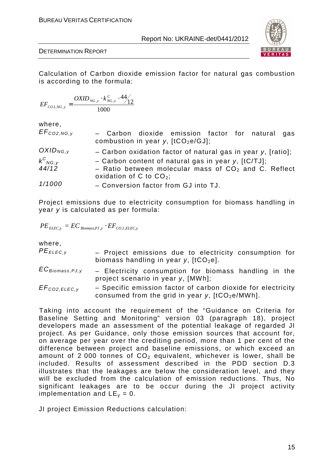

Calculation of Carbon dioxide emission factor for natural gas combustion is according to the formula:

$$
EF_{CO2,NG,y} = \frac{OXID_{NG,y} \cdot k_{NG,y}^C \cdot 44}{1000}
$$

where,

| $EF_{CO2,NG, V}$ | - Carbon dioxide emission factor for natural gas<br>combustion in year y, $[tCO_2e/GJ]$ ; |
|------------------|-------------------------------------------------------------------------------------------|
| $OXID_{NG,V}$    | - Carbon oxidation factor of natural gas in year $y$ , [ratio];                           |
| $k_{NG,y}^C$     | - Carbon content of natural gas in year y, $[tC/TJ]$ ;                                    |
| 44/12            | - Ratio between molecular mass of $CO2$ and C. Reflect<br>oxidation of C to $CO2$ ;       |
| 1/1000           | - Conversion factor from GJ into TJ.                                                      |

Project emissions due to electricity consumption for biomass handling in year y is calculated as per formula:

$$
PE_{ELEC,y} = EC_{\text{Biomass},\text{PJ},y} \cdot EF_{\text{CO2,ELEC},y}
$$

where,

| $PE_{ELEC, V}$       | - Project emissions due to electricity consumption for<br>biomass handling in year $y$ , $[tCO2e]$ .              |
|----------------------|-------------------------------------------------------------------------------------------------------------------|
| $EC_{Biomass, PJ,y}$ | - Electricity consumption for biomass handling in the<br>project scenario in year y, [MWh];                       |
| $EF_{CO2, ELEC, V}$  | - Specific emission factor of carbon dioxide for electricity<br>consumed from the grid in year y, $[tCO2e/MWh]$ . |

Taking into account the requirement of the "Guidance on Criteria for Baseline Setting and Monitoring" version 03 (paragraph 18), project developers made an assessment of the potential leakage of regarded JI project. As per Guidance, only those emission sources that account for, on average per year over the crediting period, more than 1 per cent of the difference between project and baseline emissions, or which exceed an amount of 2000 tonnes of  $CO<sub>2</sub>$  equivalent, whichever is lower, shall be included. Results of assessment described in the PDD section D.3 illustrates that the leakages are below the consideration level, and they will be excluded from the calculation of emission reductions. Thus, No significant leakages are to be occur during the JI project activity implementation and  $LE_v = 0$ .

JI project Emission Reductions calculation: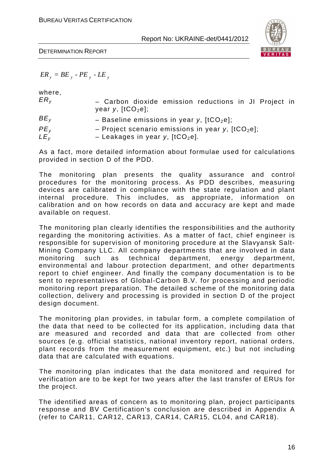

 $ER_y = BE_y - PE_y - LE_y$ 

where,

| ER <sub>v</sub>                    | - Carbon dioxide emission reductions in JI Project in<br>year y, $[tCO2e]$ ;              |
|------------------------------------|-------------------------------------------------------------------------------------------|
| $BE_{v}$                           | - Baseline emissions in year y, $[tCO2e]$ ;                                               |
| PE <sub>v</sub><br>LE <sub>v</sub> | - Project scenario emissions in year y, $[tCO_2e]$ ;<br>- Leakages in year y, $[tCO2e]$ . |

As a fact, more detailed information about formulae used for calculations provided in section D of the PDD.

The monitoring plan presents the quality assurance and control procedures for the monitoring process. As PDD describes, measuring devices are calibrated in compliance with the state regulation and plant internal procedure. This includes, as appropriate, information on calibration and on how records on data and accuracy are kept and made available on request.

The monitoring plan clearly identifies the responsibilities and the authority regarding the monitoring activities. As a matter of fact, chief engineer is responsible for supervision of monitoring procedure at the Slavyansk Salt-Mining Company LLC. All company departments that are involved in data monitoring such as technical department, energy department, environmental and labour protection department, and other departments report to chief engineer. And finally the company documentation is to be sent to representatives of Global-Carbon B.V. for processing and periodic monitoring report preparation. The detailed scheme of the monitoring data collection, delivery and processing is provided in section D of the project design document.

The monitoring plan provides, in tabular form, a complete compilation of the data that need to be collected for its application, including data that are measured and recorded and data that are collected from other sources (e.g. official statistics, national inventory report, national orders, plant records from the measurement equipment, etc.) but not including data that are calculated with equations.

The monitoring plan indicates that the data monitored and required for verification are to be kept for two years after the last transfer of ERUs for the project.

The identified areas of concern as to monitoring plan, project participants response and BV Certification's conclusion are described in Appendix A (refer to CAR11, CAR12, CAR13, CAR14, CAR15, CL04, and CAR18).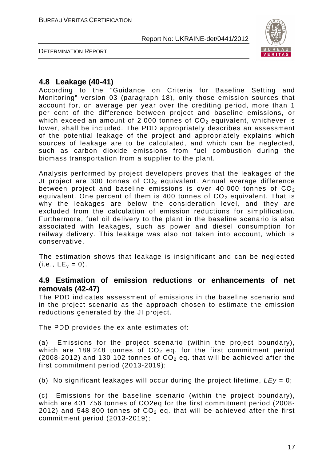

DETERMINATION REPORT

## **4.8 Leakage (40-41)**

According to the "Guidance on Criteria for Baseline Setting and Monitoring" version 03 (paragraph 18), only those emission sources that account for, on average per year over the crediting period, more than 1 per cent of the difference between project and baseline emissions, or which exceed an amount of 2 000 tonnes of  $CO<sub>2</sub>$  equivalent, whichever is lower, shall be included. The PDD appropriately describes an assessment of the potential leakage of the project and appropriately explains which sources of leakage are to be calculated, and which can be neglected, such as carbon dioxide emissions from fuel combustion during the biomass transportation from a supplier to the plant.

Analysis performed by project developers proves that the leakages of the JI project are 300 tonnes of  $CO<sub>2</sub>$  equivalent. Annual average difference between project and baseline emissions is over 40 000 tonnes of  $CO<sub>2</sub>$ equivalent. One percent of them is 400 tonnes of  $CO<sub>2</sub>$  equivalent. That is why the leakages are below the consideration level, and they are excluded from the calculation of emission reductions for simplification. Furthermore, fuel oil delivery to the plant in the baseline scenario is also associated with leakages, such as power and diesel consumption for railway delivery. This leakage was also not taken into account, which is conservative.

The estimation shows that leakage is insignificant and can be neglected  $(i.e., LE<sub>v</sub> = 0).$ 

## **4.9 Estimation of emission reductions or enhancements of net removals (42-47)**

The PDD indicates assessment of emissions in the baseline scenario and in the project scenario as the approach chosen to estimate the emission reductions generated by the JI project.

The PDD provides the ex ante estimates of:

(a) Emissions for the project scenario (within the project boundary), which are 189 248 tonnes of  $CO<sub>2</sub>$  eq. for the first commitment period (2008-2012) and 130 102 tonnes of  $CO<sub>2</sub>$  eq. that will be achieved after the first commitment period (2013-2019);

(b) No significant leakages will occur during the project lifetime,  $LEy = 0$ ;

(c) Emissions for the baseline scenario (within the project boundary), which are 401 756 tonnes of CO2eq for the first commitment period (2008- 2012) and 548 800 tonnes of  $CO<sub>2</sub>$  eq. that will be achieved after the first commitment period (2013-2019);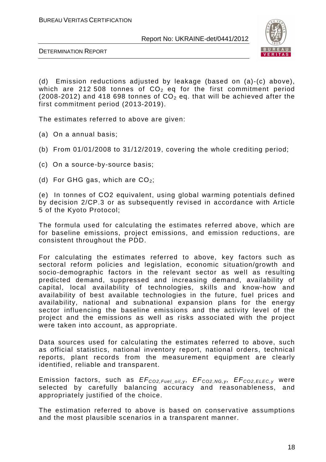

DETERMINATION REPORT

(d) Emission reductions adjusted by leakage (based on (a)-(c) above), which are 212 508 tonnes of  $CO<sub>2</sub>$  eq for the first commitment period (2008-2012) and 418 698 tonnes of  $CO<sub>2</sub>$  eq. that will be achieved after the first commitment period (2013-2019).

The estimates referred to above are given:

(a) On a annual basis;

- (b) From 01/01/2008 to 31/12/2019, covering the whole crediting period;
- (c) On a source-by-source basis;
- (d) For GHG gas, which are  $CO<sub>2</sub>$ ;

(e) In tonnes of CO2 equivalent, using global warming potentials defined by decision 2/CP.3 or as subsequently revised in accordance with Article 5 of the Kyoto Protocol;

The formula used for calculating the estimates referred above, which are for baseline emissions, project emissions, and emission reductions, are consistent throughout the PDD.

For calculating the estimates referred to above, key factors such as sectoral reform policies and legislation, economic situation/growth and socio-demographic factors in the relevant sector as well as resulting predicted demand, suppressed and increasing demand, availability of capital, local availability of technologies, skills and know-how and availability of best available technologies in the future, fuel prices and availability, national and subnational expansion plans for the energy sector influencing the baseline emissions and the activity level of the project and the emissions as well as risks associated with the project were taken into account, as appropriate.

Data sources used for calculating the estimates referred to above, such as official statistics, national inventory report, national orders, technical reports, plant records from the measurement equipment are clearly identified, reliable and transparent.

Emission factors, such as  $EF_{CO2,Fuel\_oil,y}$ ,  $EF_{CO2,NG,y}$ ,  $EF_{CO2,ELEC,y}$  were selected by carefully balancing accuracy and reasonableness, and appropriately justified of the choice.

The estimation referred to above is based on conservative assumptions and the most plausible scenarios in a transparent manner.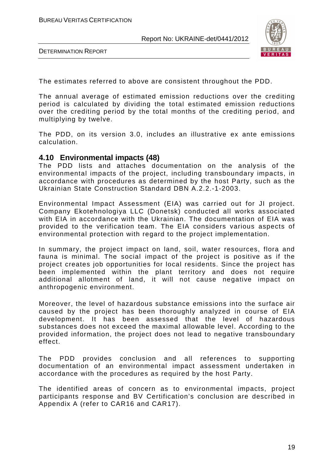

DETERMINATION REPORT

The estimates referred to above are consistent throughout the PDD.

The annual average of estimated emission reductions over the crediting period is calculated by dividing the total estimated emission reductions over the crediting period by the total months of the crediting period, and multiplying by twelve.

The PDD, on its version 3.0, includes an illustrative ex ante emissions calculation.

## **4.10 Environmental impacts (48)**

The PDD lists and attaches documentation on the analysis of the environmental impacts of the project, including transboundary impacts, in accordance with procedures as determined by the host Party, such as the Ukrainian State Construction Standard DBN A.2.2.-1-2003.

Environmental Impact Assessment (EIA) was carried out for JI project. Company Ekotehnologiya LLC (Donetsk) conducted all works associated with EIA in accordance with the Ukrainian. The documentation of EIA was provided to the verification team. The EIA considers various aspects of environmental protection with regard to the project implementation.

In summary, the project impact on land, soil, water resources, flora and fauna is minimal. The social impact of the project is positive as if the project creates job opportunities for local residents. Since the project has been implemented within the plant territory and does not require additional allotment of land, it will not cause negative impact on anthropogenic environment.

Moreover, the level of hazardous substance emissions into the surface air caused by the project has been thoroughly analyzed in course of EIA development. It has been assessed that the level of hazardous substances does not exceed the maximal allowable level. According to the provided information, the project does not lead to negative transboundary effect.

The PDD provides conclusion and all references to supporting documentation of an environmental impact assessment undertaken in accordance with the procedures as required by the host Party.

The identified areas of concern as to environmental impacts, project participants response and BV Certification's conclusion are described in Appendix A (refer to CAR16 and CAR17).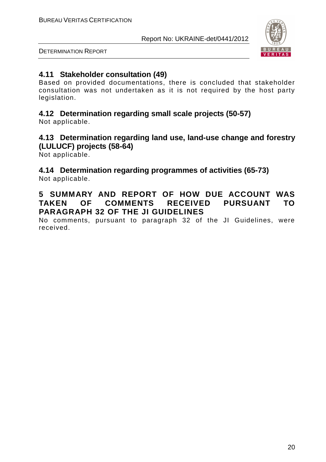

DETERMINATION REPORT

## **4.11 Stakeholder consultation (49)**

Based on provided documentations, there is concluded that stakeholder consultation was not undertaken as it is not required by the host party legislation.

# **4.12 Determination regarding small scale projects (50-57)**

Not applicable.

# **4.13 Determination regarding land use, land-use change and forestry (LULUCF) projects (58-64)**

Not applicable.

## **4.14 Determination regarding programmes of activities (65-73)**  Not applicable.

## **5 SUMMARY AND REPORT OF HOW DUE ACCOUNT WAS TAKEN OF COMMENTS RECEIVED PURSUANT TO PARAGRAPH 32 OF THE JI GUIDELINES**

No comments, pursuant to paragraph 32 of the JI Guidelines, were received.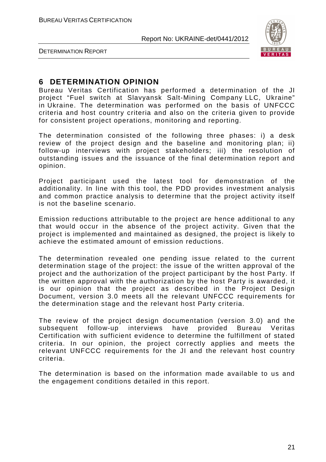

DETERMINATION REPORT

## **6 DETERMINATION OPINION**

Bureau Veritas Certification has performed a determination of the JI project "Fuel switch at Slavyansk Salt-Mining Company LLC, Ukraine" in Ukraine. The determination was performed on the basis of UNFCCC criteria and host country criteria and also on the criteria given to provide for consistent project operations, monitoring and reporting.

The determination consisted of the following three phases: i) a desk review of the project design and the baseline and monitoring plan; ii) follow-up interviews with project stakeholders; iii) the resolution of outstanding issues and the issuance of the final determination report and opinion.

Project participant used the latest tool for demonstration of the additionality. In line with this tool, the PDD provides investment analysis and common practice analysis to determine that the project activity itself is not the baseline scenario.

Emission reductions attributable to the project are hence additional to any that would occur in the absence of the project activity. Given that the project is implemented and maintained as designed, the project is likely to achieve the estimated amount of emission reductions.

The determination revealed one pending issue related to the current determination stage of the project: the issue of the written approval of the project and the authorization of the project participant by the host Party. If the written approval with the authorization by the host Party is awarded, it is our opinion that the project as described in the Project Design Document, version 3.0 meets all the relevant UNFCCC requirements for the determination stage and the relevant host Party criteria.

The review of the project design documentation (version 3.0) and the subsequent follow-up interviews have provided Bureau Veritas Certification with sufficient evidence to determine the fulfillment of stated criteria. In our opinion, the project correctly applies and meets the relevant UNFCCC requirements for the JI and the relevant host country criteria.

The determination is based on the information made available to us and the engagement conditions detailed in this report.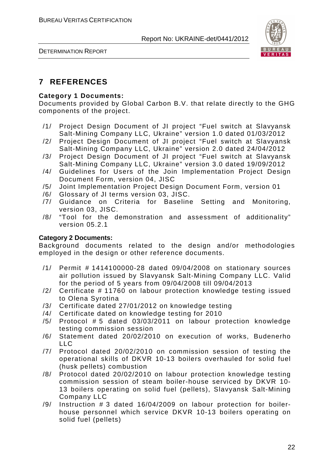

# **7 REFERENCES**

## **Category 1 Documents:**

Documents provided by Global Carbon B.V. that relate directly to the GHG components of the project.

- /1/ Project Design Document of JI project "Fuel switch at Slavyansk Salt-Mining Company LLC, Ukraine" version 1.0 dated 01/03/2012
- /2/ Project Design Document of JI project "Fuel switch at Slavyansk Salt-Mining Company LLC, Ukraine" version 2.0 dated 24/04/2012
- /3/ Project Design Document of JI project "Fuel switch at Slavyansk Salt-Mining Company LLC, Ukraine" version 3.0 dated 19/09/2012
- /4/ Guidelines for Users of the Join Implementation Project Design Document Form, version 04, JISC
- /5/ Joint Implementation Project Design Document Form, version 01
- /6/ Glossary of JI terms version 03, JISC.
- /7/ Guidance on Criteria for Baseline Setting and Monitoring, version 03, JISC.
- /8/ "Tool for the demonstration and assessment of additionality" version 05.2.1

## **Category 2 Documents:**

Background documents related to the design and/or methodologies employed in the design or other reference documents.

- /1/ Permit # 1414100000-28 dated 09/04/2008 on stationary sources air pollution issued by Slavyansk Salt-Mining Company LLC. Valid for the period of 5 years from 09/04/2008 till 09/04/2013
- /2/ Certificate # 11760 on labour protection knowledge testing issued to Olena Syrotina
- /3/ Certificate dated 27/01/2012 on knowledge testing
- /4/ Certificate dated on knowledge testing for 2010
- /5/ Protocol # 5 dated 03/03/2011 on labour protection knowledge testing commission session
- /6/ Statement dated 20/02/2010 on execution of works, Budenerho  $\overline{L}$
- /7/ Protocol dated 20/02/2010 on commission session of testing the operational skills of DKVR 10-13 boilers overhauled for solid fuel (husk pellets) combustion
- /8/ Protocol dated 20/02/2010 on labour protection knowledge testing commission session of steam boiler-house serviced by DKVR 10- 13 boilers operating on solid fuel (pellets), Slavyansk Salt-Mining Company LLC
- /9/ Instruction # 3 dated 16/04/2009 on labour protection for boilerhouse personnel which service DKVR 10-13 boilers operating on solid fuel (pellets)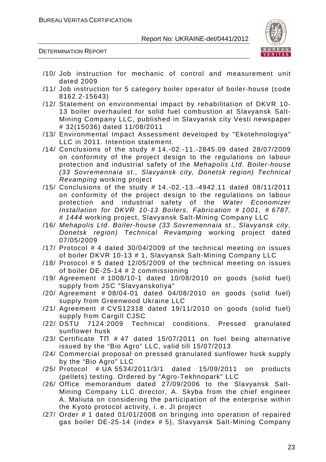

DETERMINATION REPORT

- /10/ Job instruction for mechanic of control and measurement unit dated 2009
- /11/ Job instruction for 5 category boiler operator of boiler-house (code 8162.2-15643)
- /12/ Statement on environmental impact by rehabilitation of DKVR 10- 13 boiler overhauled for solid fuel combustion at Slavyansk Salt-Mining Company LLC, published in Slavyansk city Vesti newspaper # 32(15036) dated 11/08/2011
- /13/ Environmental Impact Assessment developed by "Ekotehnologiya" LLC in 2011. Intention statement.
- /14/ Conclusions of the study # 14.-02.-11.-2845.09 dated 28/07/2009 on conformity of the project design to the regulations on labour protection and industrial safety of the Mehapolis Ltd. Boiler-house (33 Sovremennaia st., Slavyansk city, Donetsk region) Technical Revamping working project
- /15/ Conclusions of the study # 14.-02.-13.-4942.11 dated 08/11/2011 on conformity of the project design to the regulations on labour protection and industrial safety of the Water Economizer Installation for DKVR 10-13 Boilers, Fabrication # 1001, # 6787, # 1444 working project, Slavyansk Salt-Mining Company LLC
- /16/ Mehapolis Ltd. Boiler-house (33 Sovremennaia st., Slavyansk city, Donetsk region) Technical Revamping working project dated 07/05/2009
- /17/ Protocol # 4 dated 30/04/2009 of the technical meeting on issues of boiler DKVR 10-13 # 1, Slavyansk Salt-Mining Company LLC
- /18/ Protocol # 5 dated 12/05/2009 of the technical meeting on issues of boiler DE-25-14 # 2 commissioning
- /19/ Agreement # 1008/10-1 dated 10/08/2010 on goods (solid fuel) supply from JSC "Slavyanskoliya"
- /20/ Agreement # 08/04-01 dated 04/08/2010 on goods (solid fuel) supply from Greenwood Ukraine LLC
- /21/ Agreement # CVS12318 dated 19/11/2010 on goods (solid fuel) supply from Cargill CJSC
- /22/ DSTU 7124:2009 Technical conditions. Pressed granulated sunflower husk
- /23/ Certificate ТП # 47 dated 15/07/2011 on fuel being alternative issued by the "Bio Agro" LLC, valid till 15/07/2013
- /24/ Commercial proposal on pressed granulated sunflower husk supply by the "Bio Agro" LLC
- /25/ Protocol # UA 5534/2011/3/1 dated 15/09/2011 on products (pellets) testing. Ordered by "Agro-Tekhnopark" LLC
- /26/ Office memorandum dated 27/09/2006 to the Slavyansk Salt-Mining Company LLC director, A. Skyba from the chief engineer A. Maliuta on considering the participation of the enterprise within the Kyoto protocol activity, i. e. JI project
- /27/ Order # 1 dated 01/01/2008 on bringing into operation of repaired gas boiler DE-25-14 (index # 5), Slavyansk Salt-Mining Company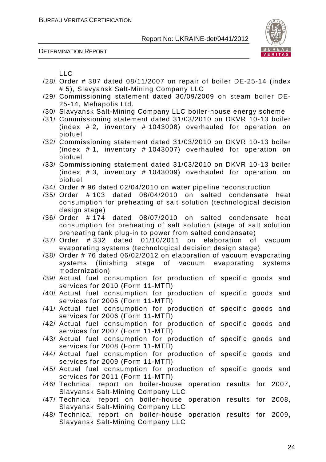DETERMINATION REPORT



LLC

- /28/ Order # 387 dated 08/11/2007 on repair of boiler DE-25-14 (index # 5), Slavyansk Salt-Mining Company LLC
- /29/ Commissioning statement dated 30/09/2009 on steam boiler DE-25-14, Mehapolis Ltd.
- /30/ Slavyansk Salt-Mining Company LLC boiler-house energy scheme
- /31/ Commissioning statement dated 31/03/2010 on DKVR 10-13 boiler (index # 2, inventory # 1043008) overhauled for operation on biofuel
- /32/ Commissioning statement dated 31/03/2010 on DKVR 10-13 boiler (index # 1, inventory # 1043007) overhauled for operation on biofuel
- /33/ Commissioning statement dated 31/03/2010 on DKVR 10-13 boiler (index # 3, inventory # 1043009) overhauled for operation on biofuel
- /34/ Order # 96 dated 02/04/2010 on water pipeline reconstruction
- /35/ Order # 103 dated 08/04/2010 on salted condensate heat consumption for preheating of salt solution (technological decision design stage)
- /36/ Order # 174 dated 08/07/2010 on salted condensate heat consumption for preheating of salt solution (stage of salt solution preheating tank plug-in to power from salted condensate)
- /37/ Order # 332 dated 01/10/2011 on elaboration of vacuum evaporating systems (technological decision design stage)
- /38/ Order # 76 dated 06/02/2012 on elaboration of vacuum evaporating systems (finishing stage of vacuum evaporating systems modernization)
- /39/ Actual fuel consumption for production of specific goods and services for 2010 (Form 11-МТП)
- /40/ Actual fuel consumption for production of specific goods and services for 2005 (Form 11-МТП)
- /41/ Actual fuel consumption for production of specific goods and services for 2006 (Form 11-МТП)
- /42/ Actual fuel consumption for production of specific goods and services for 2007 (Form 11-МТП)
- /43/ Actual fuel consumption for production of specific goods and services for 2008 (Form 11-МТП)
- /44/ Actual fuel consumption for production of specific goods and services for 2009 (Form 11-МТП)
- /45/ Actual fuel consumption for production of specific goods and services for 2011 (Form 11-МТП)
- /46/ Technical report on boiler-house operation results for 2007, Slavyansk Salt-Mining Company LLC
- /47/ Technical report on boiler-house operation results for 2008, Slavyansk Salt-Mining Company LLC
- /48/ Technical report on boiler-house operation results for 2009, Slavyansk Salt-Mining Company LLC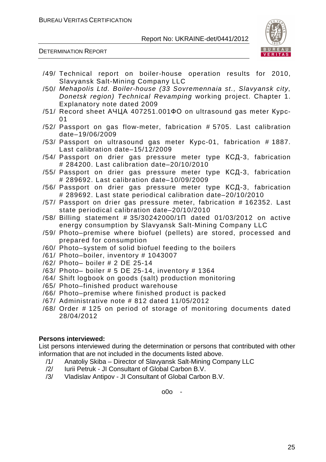DETERMINATION REPORT



- /49/ Technical report on boiler-house operation results for 2010, Slavyansk Salt-Mining Company LLC
- /50/ Mehapolis Ltd. Boiler-house (33 Sovremennaia st., Slavyansk city, Donetsk region) Technical Revamping working project. Chapter 1. Explanatory note dated 2009
- /51/ Record sheet АЧЦА 407251.001ФО on ultrasound gas meter Курс- $01$
- /52/ Passport on gas flow-meter, fabrication # 5705. Last calibration date–19/06/2009
- /53/ Passport on ultrasound gas meter Курс-01, fabrication # 1887. Last calibration date–15/12/2009
- /54/ Passport on drier gas pressure meter type КСД-3, fabrication # 284200. Last calibration date–20/10/2010
- /55/ Passport on drier gas pressure meter type КСД-3, fabrication # 289692. Last calibration date–10/09/2009
- /56/ Passport on drier gas pressure meter type КСД-3, fabrication # 289692. Last state periodical calibration date–20/10/2010
- /57/ Passport on drier gas pressure meter, fabrication # 162352. Last state periodical calibration date–20/10/2010
- /58/ Billing statement # 35/30242000/1П dated 01/03/2012 on active energy consumption by Slavyansk Salt-Mining Company LLC
- /59/ Photo–premise where biofuel (pellets) are stored, processed and prepared for consumption
- /60/ Photo–system of solid biofuel feeding to the boilers
- /61/ Photo–boiler, inventory # 1043007
- /62/ Photo– boiler # 2 DE 25-14
- /63/ Photo– boiler # 5 DE 25-14, inventory # 1364
- /64/ Shift logbook on goods (salt) production monitoring
- /65/ Photo–finished product warehouse
- /66/ Photo–premise where finished product is packed
- /67/ Administrative note # 812 dated 11/05/2012
- /68/ Order # 125 on period of storage of monitoring documents dated 28/04/2012

#### **Persons interviewed:**

List persons interviewed during the determination or persons that contributed with other information that are not included in the documents listed above.

- /1/ Anatoliy Skiba Director of Slavyansk Salt-Mining Company LLC
- /2/ Iurii Petruk JI Consultant of Global Carbon B.V.
- /3/ Vladislav Antipov JI Consultant of Global Carbon B.V.

o0o -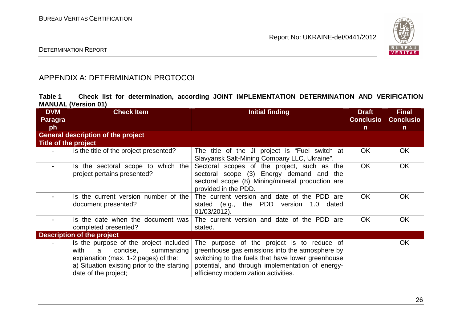

## DETERMINATION REPORT

# APPENDIX A: DETERMINATION PROTOCOL

| Table 1 |                            |  |  | Check list for determination, according JOINT IMPLEMENTATION DETERMINATION AND VERIFICATION |  |  |
|---------|----------------------------|--|--|---------------------------------------------------------------------------------------------|--|--|
|         | <b>MANUAL (Version 01)</b> |  |  |                                                                                             |  |  |

| <b>DVM</b>           | <b>Check Item</b>                                                                                                                                                                             | <b>Initial finding</b>                                                                                                                                                                                                                         | <b>Draft</b>     | <b>Final</b>     |
|----------------------|-----------------------------------------------------------------------------------------------------------------------------------------------------------------------------------------------|------------------------------------------------------------------------------------------------------------------------------------------------------------------------------------------------------------------------------------------------|------------------|------------------|
| Paragra              |                                                                                                                                                                                               |                                                                                                                                                                                                                                                | <b>Conclusio</b> | <b>Conclusio</b> |
| ph                   |                                                                                                                                                                                               |                                                                                                                                                                                                                                                | $\mathsf{n}$     | $\mathsf{n}$     |
|                      | <b>General description of the project</b>                                                                                                                                                     |                                                                                                                                                                                                                                                |                  |                  |
| Title of the project |                                                                                                                                                                                               |                                                                                                                                                                                                                                                |                  |                  |
|                      | Is the title of the project presented?                                                                                                                                                        | The title of the JI project is "Fuel switch at<br>Slavyansk Salt-Mining Company LLC, Ukraine".                                                                                                                                                 | <b>OK</b>        | <b>OK</b>        |
|                      | Is the sectoral scope to which the<br>project pertains presented?                                                                                                                             | Sectoral scopes of the project, such as the<br>sectoral scope (3) Energy demand and the<br>sectoral scope (8) Mining/mineral production are<br>provided in the PDD.                                                                            | <b>OK</b>        | <b>OK</b>        |
|                      | Is the current version number of the<br>document presented?                                                                                                                                   | The current version and date of the PDD are<br>stated (e.g., the PDD version 1.0 dated<br>01/03/2012).                                                                                                                                         | OK.              | <b>OK</b>        |
|                      | Is the date when the document was<br>completed presented?                                                                                                                                     | The current version and date of the PDD are<br>stated.                                                                                                                                                                                         | <b>OK</b>        | OK.              |
|                      | <b>Description of the project</b>                                                                                                                                                             |                                                                                                                                                                                                                                                |                  |                  |
|                      | Is the purpose of the project included<br>with<br>concise,<br>summarizing<br>a<br>explanation (max. 1-2 pages) of the:<br>a) Situation existing prior to the starting<br>date of the project; | The purpose of the project is to reduce of<br>greenhouse gas emissions into the atmosphere by<br>switching to the fuels that have lower greenhouse<br>potential, and through implementation of energy-<br>efficiency modernization activities. |                  | <b>OK</b>        |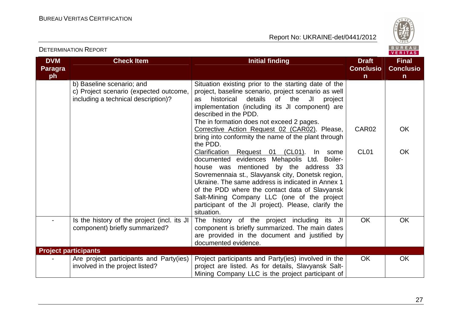Report No: UKRAINE-det/0441/2012



#### VERITAS **DVM Check Item Initial finding Check Item Initial finding Check Item Initial finding Initial finding Initial finding Final Paragra Conclusio Conclusioph nn** b) Baseline scenario; and Situation existing prior to the starting date of the c) Project scenario (expected outcome, project, baseline scenario, project scenario as well including a technical description)? as historical details of the JI project implementation (including its JI component) are described in the PDD. The in formation does not exceed 2 pages. CAR<sub>02</sub> OK Corrective Action Request 02 (CAR02). Please, bring into conformity the name of the plant throughthe PDD. CL01 Clarification Request 01 (CL01). In some OK documented evidences Mehapolis Ltd. Boilerhouse was mentioned by the address 33 Sovremennaia st., Slavyansk city, Donetsk region, Ukraine. The same address is indicated in Annex 1 of the PDD where the contact data of Slavyansk Salt-Mining Company LLC (one of the project participant of the JI project). Please, clarify thesituation. - Is the history of the project (incl. its JI The history of the project including its JI OK OK component) briefly summarized? component is briefly summarized. The main dates are provided in the document and justified by documented evidence. **Project participants** - **Are project participants and Party(ies)** Project participants and Party(ies) involved in theOK OK involved in the project listed? project are listed. As for details, Slavyansk Salt-Mining Company LLC is the project participant of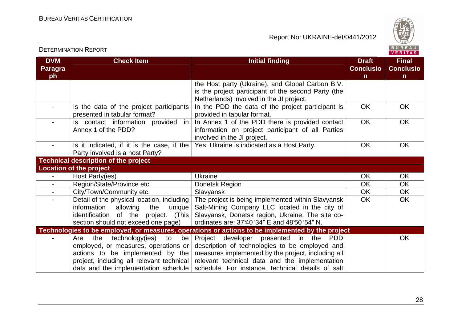

|                                    | <b>DETERMINATION REPORT</b>                                                                                                                                                                                |                                                                                                                                                                                                                                                                 |                                                  | BUREAU<br><b>VERITAS</b>                         |
|------------------------------------|------------------------------------------------------------------------------------------------------------------------------------------------------------------------------------------------------------|-----------------------------------------------------------------------------------------------------------------------------------------------------------------------------------------------------------------------------------------------------------------|--------------------------------------------------|--------------------------------------------------|
| <b>DVM</b><br><b>Paragra</b><br>ph | <b>Check Item</b>                                                                                                                                                                                          | <b>Initial finding</b>                                                                                                                                                                                                                                          | <b>Draft</b><br><b>Conclusio</b><br>$\mathsf{n}$ | <b>Final</b><br><b>Conclusio</b><br>$\mathsf{n}$ |
|                                    |                                                                                                                                                                                                            | the Host party (Ukraine), and Global Carbon B.V.<br>is the project participant of the second Party (the<br>Netherlands) involved in the JI project.                                                                                                             |                                                  |                                                  |
| $\blacksquare$                     | Is the data of the project participants<br>presented in tabular format?                                                                                                                                    | In the PDD the data of the project participant is<br>provided in tabular format.                                                                                                                                                                                | <b>OK</b>                                        | <b>OK</b>                                        |
|                                    | Is contact information provided in<br>Annex 1 of the PDD?                                                                                                                                                  | In Annex 1 of the PDD there is provided contact<br>information on project participant of all Parties<br>involved in the JI project.                                                                                                                             | <b>OK</b>                                        | <b>OK</b>                                        |
|                                    | Is it indicated, if it is the case, if the<br>Party involved is a host Party?                                                                                                                              | Yes, Ukraine is indicated as a Host Party.                                                                                                                                                                                                                      | <b>OK</b>                                        | <b>OK</b>                                        |
|                                    | <b>Technical description of the project</b>                                                                                                                                                                |                                                                                                                                                                                                                                                                 |                                                  |                                                  |
|                                    | <b>Location of the project</b>                                                                                                                                                                             |                                                                                                                                                                                                                                                                 |                                                  |                                                  |
| $\blacksquare$                     | Host Party(ies)                                                                                                                                                                                            | Ukraine                                                                                                                                                                                                                                                         | <b>OK</b>                                        | <b>OK</b>                                        |
|                                    | Region/State/Province etc.                                                                                                                                                                                 | Donetsk Region                                                                                                                                                                                                                                                  | <b>OK</b>                                        | <b>OK</b>                                        |
| $\blacksquare$                     | City/Town/Community etc.                                                                                                                                                                                   | Slavyansk                                                                                                                                                                                                                                                       | <b>OK</b>                                        | <b>OK</b>                                        |
|                                    | Detail of the physical location, including<br>information<br>allowing<br>unique<br>the<br>identification of the project. (This<br>section should not exceed one page)                                      | The project is being implemented within Slavyansk<br>Salt-Mining Company LLC located in the city of<br>Slavyansk, Donetsk region, Ukraine. The site co-<br>ordinates are: 37'40'34" E and 48'50'54" N.                                                          | <b>OK</b>                                        | <b>OK</b>                                        |
|                                    |                                                                                                                                                                                                            | Technologies to be employed, or measures, operations or actions to be implemented by the project                                                                                                                                                                |                                                  |                                                  |
|                                    | technology(ies)<br>the<br>to<br>be<br>Are<br>employed, or measures, operations or<br>actions to be implemented by the<br>project, including all relevant technical<br>data and the implementation schedule | Project developer presented in the<br><b>PDD</b><br>description of technologies to be employed and<br>measures implemented by the project, including all<br>relevant technical data and the implementation<br>schedule. For instance, technical details of salt |                                                  | <b>OK</b>                                        |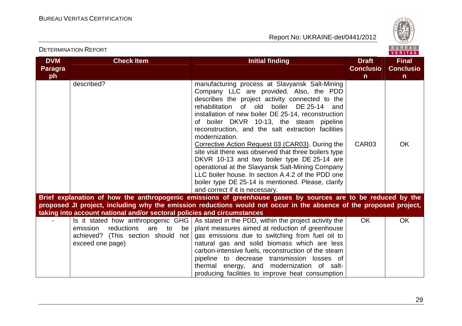

|                                    | <b>DETERMINATION REPORT</b>                                                                      |                                                                                                                                                                                                                                                                                                                                                                                                                                                                                                                                                                                                                                                                                                                                       |                                                  | BUREAU<br><b>VERITAS</b>                         |
|------------------------------------|--------------------------------------------------------------------------------------------------|---------------------------------------------------------------------------------------------------------------------------------------------------------------------------------------------------------------------------------------------------------------------------------------------------------------------------------------------------------------------------------------------------------------------------------------------------------------------------------------------------------------------------------------------------------------------------------------------------------------------------------------------------------------------------------------------------------------------------------------|--------------------------------------------------|--------------------------------------------------|
| <b>DVM</b><br><b>Paragra</b><br>ph | <b>Check Item</b>                                                                                | <b>Initial finding</b>                                                                                                                                                                                                                                                                                                                                                                                                                                                                                                                                                                                                                                                                                                                | <b>Draft</b><br><b>Conclusio</b><br>$\mathsf{n}$ | <b>Final</b><br><b>Conclusio</b><br>$\mathsf{n}$ |
|                                    | described?                                                                                       | manufacturing process at Slavyansk Salt-Mining<br>Company LLC are provided. Also, the PDD<br>describes the project activity connected to the<br>rehabilitation of old<br>boiler DE 25-14 and<br>installation of new boiler DE 25-14, reconstruction<br>of boiler DKVR 10-13, the steam pipeline<br>reconstruction, and the salt extraction facilities<br>modernization.<br>Corrective Action Request 03 (CAR03). During the<br>site visit there was observed that three boilers type<br>DKVR 10-13 and two boiler type DE 25-14 are<br>operational at the Slavyansk Salt-Mining Company<br>LLC boiler house. In section A.4.2 of the PDD one<br>boiler type DE 25-14 is mentioned. Please, clarify<br>and correct if it is necessary. | CAR03                                            | <b>OK</b>                                        |
|                                    |                                                                                                  | Brief explanation of how the anthropogenic emissions of greenhouse gases by sources are to be reduced by the                                                                                                                                                                                                                                                                                                                                                                                                                                                                                                                                                                                                                          |                                                  |                                                  |
|                                    |                                                                                                  | proposed JI project, including why the emission reductions would not occur in the absence of the proposed project,                                                                                                                                                                                                                                                                                                                                                                                                                                                                                                                                                                                                                    |                                                  |                                                  |
|                                    | taking into account national and/or sectoral policies and circumstances                          |                                                                                                                                                                                                                                                                                                                                                                                                                                                                                                                                                                                                                                                                                                                                       |                                                  |                                                  |
|                                    | reductions<br>are to<br>emission<br>be<br>achieved? (This section should not<br>exceed one page) | Is it stated how anthropogenic GHG $\vert$ As stated in the PDD, within the project activity the<br>plant measures aimed at reduction of greenhouse<br>gas emissions due to switching from fuel oil to<br>natural gas and solid biomass which are less<br>carbon-intensive fuels, reconstruction of the steam<br>pipeline to decrease transmission losses of<br>thermal energy, and modernization of salt-<br>producing facilities to improve heat consumption                                                                                                                                                                                                                                                                        | <b>OK</b>                                        | <b>OK</b>                                        |

29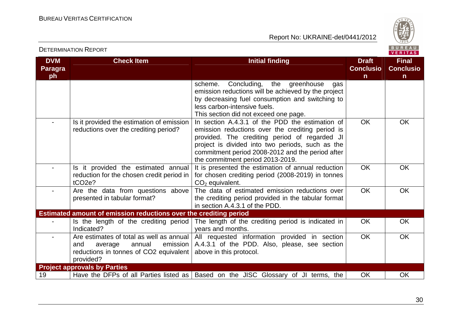

| <b>DVM</b><br><b>Paragra</b> | <b>Check Item</b>                                                                                                                           | <b>Initial finding</b>                                                                                                                                                                                                                                                                           | <b>Draft</b><br><b>Conclusio</b> | <b>Final</b><br><b>Conclusio</b> |
|------------------------------|---------------------------------------------------------------------------------------------------------------------------------------------|--------------------------------------------------------------------------------------------------------------------------------------------------------------------------------------------------------------------------------------------------------------------------------------------------|----------------------------------|----------------------------------|
| ph                           |                                                                                                                                             |                                                                                                                                                                                                                                                                                                  | $\mathsf{n}$                     | $\mathsf{n}$                     |
|                              |                                                                                                                                             | Concluding, the greenhouse<br>scheme.<br>gas<br>emission reductions will be achieved by the project<br>by decreasing fuel consumption and switching to<br>less carbon-intensive fuels.<br>This section did not exceed one page.                                                                  |                                  |                                  |
|                              | Is it provided the estimation of emission<br>reductions over the crediting period?                                                          | In section A.4.3.1 of the PDD the estimation of<br>emission reductions over the crediting period is<br>provided. The crediting period of regarded JI<br>project is divided into two periods, such as the<br>commitment period 2008-2012 and the period after<br>the commitment period 2013-2019. | <b>OK</b>                        | OK                               |
|                              | Is it provided the estimated annual<br>reduction for the chosen credit period in<br>$tCO2e$ ?                                               | It is presented the estimation of annual reduction<br>for chosen crediting period (2008-2019) in tonnes<br>$CO2$ equivalent.                                                                                                                                                                     | <b>OK</b>                        | <b>OK</b>                        |
|                              | Are the data from questions above<br>presented in tabular format?                                                                           | The data of estimated emission reductions over<br>the crediting period provided in the tabular format<br>in section A.4.3.1 of the PDD.                                                                                                                                                          | OK                               | <b>OK</b>                        |
|                              | Estimated amount of emission reductions over the crediting period                                                                           |                                                                                                                                                                                                                                                                                                  |                                  |                                  |
|                              | Is the length of the crediting period<br>Indicated?                                                                                         | The length of the crediting period is indicated in<br>years and months.                                                                                                                                                                                                                          | <b>OK</b>                        | OK.                              |
|                              | Are estimates of total as well as annual  <br>emission  <br>and<br>annual<br>average<br>reductions in tonnes of CO2 equivalent<br>provided? | All requested information provided in section<br>A.4.3.1 of the PDD. Also, please, see section<br>above in this protocol.                                                                                                                                                                        | <b>OK</b>                        | OK.                              |
|                              | <b>Project approvals by Parties</b>                                                                                                         |                                                                                                                                                                                                                                                                                                  |                                  |                                  |
| 19                           |                                                                                                                                             | Have the DFPs of all Parties listed as   Based on the JISC Glossary of JI terms, the                                                                                                                                                                                                             | <b>OK</b>                        | <b>OK</b>                        |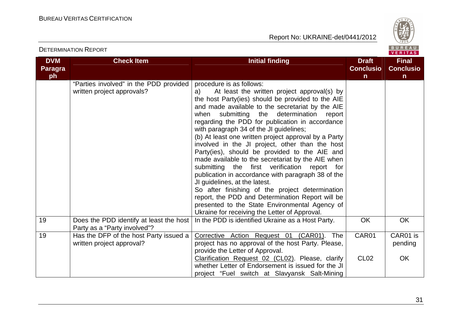

|                                    |                                                                      |                                                                                                                                                                                                                                                                                                                                                                                                                                                                                                                                                                                                                                                                                                                                                                                                                                                                                                             |                                                  | <b>VENTIAS</b>                                   |
|------------------------------------|----------------------------------------------------------------------|-------------------------------------------------------------------------------------------------------------------------------------------------------------------------------------------------------------------------------------------------------------------------------------------------------------------------------------------------------------------------------------------------------------------------------------------------------------------------------------------------------------------------------------------------------------------------------------------------------------------------------------------------------------------------------------------------------------------------------------------------------------------------------------------------------------------------------------------------------------------------------------------------------------|--------------------------------------------------|--------------------------------------------------|
| <b>DVM</b><br><b>Paragra</b><br>ph | <b>Check Item</b>                                                    | <b>Initial finding</b>                                                                                                                                                                                                                                                                                                                                                                                                                                                                                                                                                                                                                                                                                                                                                                                                                                                                                      | <b>Draft</b><br><b>Conclusio</b><br>$\mathsf{n}$ | <b>Final</b><br><b>Conclusio</b><br>$\mathsf{n}$ |
|                                    |                                                                      |                                                                                                                                                                                                                                                                                                                                                                                                                                                                                                                                                                                                                                                                                                                                                                                                                                                                                                             |                                                  |                                                  |
|                                    | "Parties involved" in the PDD provided<br>written project approvals? | procedure is as follows:<br>At least the written project approval(s) by<br>a)<br>the host Party(ies) should be provided to the AIE<br>and made available to the secretariat by the AIE<br>submitting the determination<br>when<br>report<br>regarding the PDD for publication in accordance<br>with paragraph 34 of the JI guidelines;<br>(b) At least one written project approval by a Party<br>involved in the JI project, other than the host<br>Party(ies), should be provided to the AIE and<br>made available to the secretariat by the AIE when<br>submitting the first verification report<br>for<br>publication in accordance with paragraph 38 of the<br>JI guidelines, at the latest.<br>So after finishing of the project determination<br>report, the PDD and Determination Report will be<br>presented to the State Environmental Agency of<br>Ukraine for receiving the Letter of Approval. |                                                  |                                                  |
| 19                                 | Does the PDD identify at least the host                              | In the PDD is identified Ukraine as a Host Party.                                                                                                                                                                                                                                                                                                                                                                                                                                                                                                                                                                                                                                                                                                                                                                                                                                                           | OK                                               | <b>OK</b>                                        |
|                                    | Party as a "Party involved"?                                         |                                                                                                                                                                                                                                                                                                                                                                                                                                                                                                                                                                                                                                                                                                                                                                                                                                                                                                             |                                                  |                                                  |
| 19                                 | Has the DFP of the host Party issued a                               | Corrective Action Request 01 (CAR01).<br>The                                                                                                                                                                                                                                                                                                                                                                                                                                                                                                                                                                                                                                                                                                                                                                                                                                                                | CAR01                                            | CAR01 is                                         |
|                                    | written project approval?                                            | project has no approval of the host Party. Please,                                                                                                                                                                                                                                                                                                                                                                                                                                                                                                                                                                                                                                                                                                                                                                                                                                                          |                                                  | pending                                          |
|                                    |                                                                      | provide the Letter of Approval.                                                                                                                                                                                                                                                                                                                                                                                                                                                                                                                                                                                                                                                                                                                                                                                                                                                                             |                                                  |                                                  |
|                                    |                                                                      | Clarification Request 02 (CL02). Please, clarify                                                                                                                                                                                                                                                                                                                                                                                                                                                                                                                                                                                                                                                                                                                                                                                                                                                            | <b>CL02</b>                                      | <b>OK</b>                                        |
|                                    |                                                                      | whether Letter of Endorsement is issued for the JI                                                                                                                                                                                                                                                                                                                                                                                                                                                                                                                                                                                                                                                                                                                                                                                                                                                          |                                                  |                                                  |
|                                    |                                                                      | project "Fuel switch at Slavyansk Salt-Mining                                                                                                                                                                                                                                                                                                                                                                                                                                                                                                                                                                                                                                                                                                                                                                                                                                                               |                                                  |                                                  |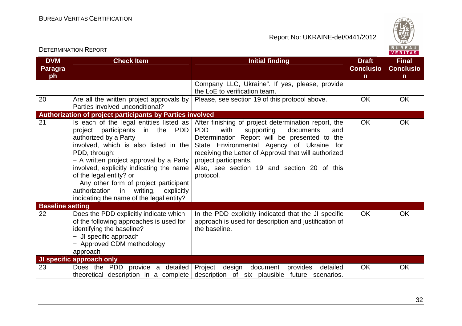

| <b>DVM</b><br><b>Paragra</b> | <b>Check Item</b>                                                                                                                                                                                                                                                                                                                                                                                                         | <b>Initial finding</b>                                                                                                                                                                                                                                                                                                                                   | <b>Draft</b><br><b>Conclusio</b> | <b>Final</b><br><b>Conclusio</b> |
|------------------------------|---------------------------------------------------------------------------------------------------------------------------------------------------------------------------------------------------------------------------------------------------------------------------------------------------------------------------------------------------------------------------------------------------------------------------|----------------------------------------------------------------------------------------------------------------------------------------------------------------------------------------------------------------------------------------------------------------------------------------------------------------------------------------------------------|----------------------------------|----------------------------------|
| ph                           |                                                                                                                                                                                                                                                                                                                                                                                                                           |                                                                                                                                                                                                                                                                                                                                                          | $\mathsf{n}$                     | $\mathsf{n}$                     |
|                              |                                                                                                                                                                                                                                                                                                                                                                                                                           | Company LLC, Ukraine". If yes, please, provide<br>the LoE to verification team.                                                                                                                                                                                                                                                                          |                                  |                                  |
| 20                           | Are all the written project approvals by<br>Parties involved unconditional?                                                                                                                                                                                                                                                                                                                                               | Please, see section 19 of this protocol above.                                                                                                                                                                                                                                                                                                           | <b>OK</b>                        | <b>OK</b>                        |
|                              | <b>Authorization of project participants by Parties involved</b>                                                                                                                                                                                                                                                                                                                                                          |                                                                                                                                                                                                                                                                                                                                                          |                                  |                                  |
| 21                           | Is each of the legal entities listed as $ $<br>project participants in the PDD<br>authorized by a Party<br>involved, which is also listed in the<br>PDD, through:<br>- A written project approval by a Party $ $<br>involved, explicitly indicating the name<br>of the legal entity? or<br>- Any other form of project participant<br>authorization in writing,<br>explicitly<br>indicating the name of the legal entity? | After finishing of project determination report, the<br>with<br><b>PDD</b><br>supporting<br>documents<br>and<br>Determination Report will be presented to the<br>State Environmental Agency of Ukraine for<br>receiving the Letter of Approval that will authorized<br>project participants.<br>Also, see section 19 and section 20 of this<br>protocol. | <b>OK</b>                        | OK                               |
| <b>Baseline setting</b>      |                                                                                                                                                                                                                                                                                                                                                                                                                           |                                                                                                                                                                                                                                                                                                                                                          |                                  |                                  |
| 22                           | Does the PDD explicitly indicate which<br>of the following approaches is used for<br>identifying the baseline?<br>- JI specific approach<br>- Approved CDM methodology<br>approach                                                                                                                                                                                                                                        | In the PDD explicitly indicated that the JI specific<br>approach is used for description and justification of<br>the baseline.                                                                                                                                                                                                                           | <b>OK</b>                        | <b>OK</b>                        |
|                              | JI specific approach only                                                                                                                                                                                                                                                                                                                                                                                                 |                                                                                                                                                                                                                                                                                                                                                          |                                  |                                  |
| 23                           | Does the PDD provide a detailed                                                                                                                                                                                                                                                                                                                                                                                           | Project<br>design<br>document provides<br>detailed<br>theoretical description in a complete description of six plausible future scenarios.                                                                                                                                                                                                               | <b>OK</b>                        | <b>OK</b>                        |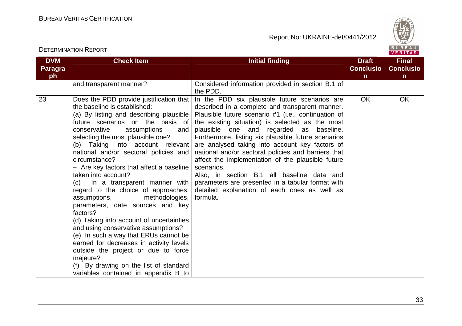

VERITAS

#### **DVM Paragraph Check Item Initial finding Check Item Initial finding Check Item Initial finding Initial finding Initial finding ConclusionFinal Conclusion** and transparent manner? Considered information provided in section B.1 of the PDD. 23  $\vert$  Does the PDD provide justification that  $\vert$  In the PDD six plausible future scenarios are the baseline is established: (a) By listing and describing plausible future scenarios on the basis of the existing situation) is selected as the most plausible one and regarded as baseline. conservative assumptions selecting the most plausible one? (b) Taking into account relevant national and/or sectoral policies and circumstance? − Are key factors that affect a baseline taken into account? (c) In a transparent manner with regard to the choice of approaches, assumptions, methodologies, parameters, date sources and key factors? (d) Taking into account of uncertainties and using conservative assumptions? (e) In such a way that ERUs cannot be earned for decreases in activity levels outside the project or due to force majeure? (f) By drawing on the list of standard variables contained in appendix B to described in a complete and transparent manner. Plausible future scenario #1 (i.e., continuation of Furthermore, listing six plausible future scenarios are analysed taking into account key factors of national and/or sectoral policies and barriers that affect the implementation of the plausible future scenarios. Also, in section B.1 all baseline data and parameters are presented in a tabular format with detailed explanation of each ones as well as formula. OK OK

#### DETERMINATION REPORT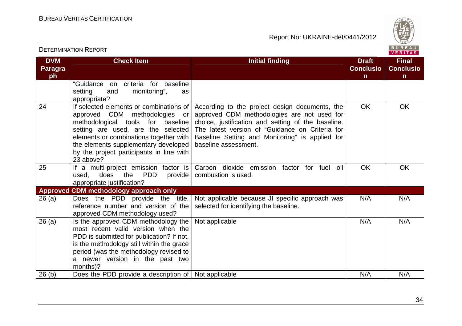

VERITAS

#### **DVM Paragraph Check Item Initial finding Check Item Initial finding Check Item Initial finding Initial finding Initial finding ConclusionFinal Conclusion** "Guidance on criteria for baseline setting and monitoring", as appropriate? 24 If selected elements or combinations of approved CDM methodologies or methodological tools for baseline setting are used, are the selected elements or combinations together with the elements supplementary developed by the project participants in line with 23 above? 25 | If a multi-project emission factor is According to the project design documents, the approved CDM methodologies are not used for choice, justification and setting of the baseline. The latest version of "Guidance on Criteria for Baseline Setting and Monitoring" is applied for baseline assessment. OK OK used, does the PDD provide appropriate justification? **Approved CDM methodology approach only** Carbon dioxide emission factor for fuel oil combustion is used. OK OK 26 (a) Does the PDD provide the title, reference number and version of the approved CDM methodology used? 26 (a)  $\vert$  Is the approved CDM methodology the Not applicable because JI specific approach was selected for identifying the baseline.  $N/A$   $N/A$  most recent valid version when the PDD is submitted for publication? If not, is the methodology still within the grace period (was the methodology revised to a newer version in the past two months)? 26 (b) Does the PDD provide a description of Not applicable N/A N/A Not applicable N/A N/A N/A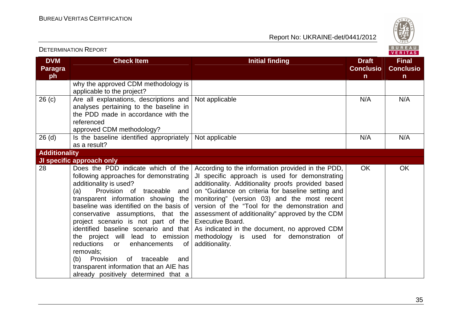

|                             | <b>DETERMINATION REPORT</b>                                                                                                                                                                                                                                                                                                                                                                                                                                                                                                                                                |                                                                                                                                                                                                                                                                                                                                                                                                                                                                                                                |                                                  | BUREAU<br><b>VERITAS</b>                         |
|-----------------------------|----------------------------------------------------------------------------------------------------------------------------------------------------------------------------------------------------------------------------------------------------------------------------------------------------------------------------------------------------------------------------------------------------------------------------------------------------------------------------------------------------------------------------------------------------------------------------|----------------------------------------------------------------------------------------------------------------------------------------------------------------------------------------------------------------------------------------------------------------------------------------------------------------------------------------------------------------------------------------------------------------------------------------------------------------------------------------------------------------|--------------------------------------------------|--------------------------------------------------|
| <b>DVM</b><br>Paragra<br>ph | <b>Check Item</b>                                                                                                                                                                                                                                                                                                                                                                                                                                                                                                                                                          | <b>Initial finding</b>                                                                                                                                                                                                                                                                                                                                                                                                                                                                                         | <b>Draft</b><br><b>Conclusio</b><br>$\mathsf{n}$ | <b>Final</b><br><b>Conclusio</b><br>$\mathsf{n}$ |
|                             | why the approved CDM methodology is<br>applicable to the project?                                                                                                                                                                                                                                                                                                                                                                                                                                                                                                          |                                                                                                                                                                                                                                                                                                                                                                                                                                                                                                                |                                                  |                                                  |
| 26 <sub>(c)</sub>           | Are all explanations, descriptions and<br>analyses pertaining to the baseline in<br>the PDD made in accordance with the<br>referenced<br>approved CDM methodology?                                                                                                                                                                                                                                                                                                                                                                                                         | Not applicable                                                                                                                                                                                                                                                                                                                                                                                                                                                                                                 | N/A                                              | N/A                                              |
| $26$ (d)                    | Is the baseline identified appropriately<br>as a result?                                                                                                                                                                                                                                                                                                                                                                                                                                                                                                                   | Not applicable                                                                                                                                                                                                                                                                                                                                                                                                                                                                                                 | N/A                                              | N/A                                              |
| <b>Additionality</b>        |                                                                                                                                                                                                                                                                                                                                                                                                                                                                                                                                                                            |                                                                                                                                                                                                                                                                                                                                                                                                                                                                                                                |                                                  |                                                  |
|                             | <b>JI specific approach only</b>                                                                                                                                                                                                                                                                                                                                                                                                                                                                                                                                           |                                                                                                                                                                                                                                                                                                                                                                                                                                                                                                                |                                                  |                                                  |
| 28                          | Does the PDD indicate which of the<br>following approaches for demonstrating<br>additionality is used?<br>Provision of traceable and<br>(a)<br>transparent information showing the<br>baseline was identified on the basis of<br>conservative assumptions, that the<br>project scenario is not part of the<br>identified baseline scenario and that<br>the project will lead to emission<br>reductions<br>enhancements<br>of<br>or<br>removals:<br>(b) Provision<br>of traceable<br>and<br>transparent information that an AIE has<br>already positively determined that a | According to the information provided in the PDD,<br>JI specific approach is used for demonstrating<br>additionality. Additionality proofs provided based<br>on "Guidance on criteria for baseline setting and<br>monitoring" (version 03) and the most recent<br>version of the "Tool for the demonstration and<br>assessment of additionality" approved by the CDM<br><b>Executive Board.</b><br>As indicated in the document, no approved CDM<br>methodology is used for demonstration of<br>additionality. | <b>OK</b>                                        | <b>OK</b>                                        |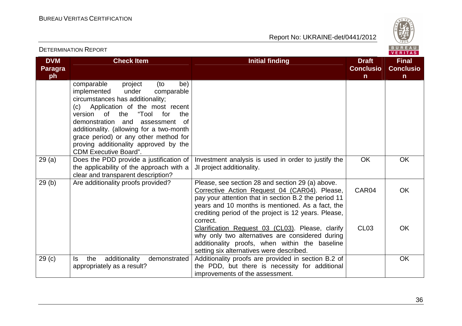

|                                    | <b>DETERMINATION REPORT</b>                                                                                                                                                                                                                                                                                                                                                                               |                                                                                                                                                                                                                                                                                   | BUREAU<br><b>VERITAS</b>              |                                                  |
|------------------------------------|-----------------------------------------------------------------------------------------------------------------------------------------------------------------------------------------------------------------------------------------------------------------------------------------------------------------------------------------------------------------------------------------------------------|-----------------------------------------------------------------------------------------------------------------------------------------------------------------------------------------------------------------------------------------------------------------------------------|---------------------------------------|--------------------------------------------------|
| <b>DVM</b><br><b>Paragra</b><br>ph | <b>Check Item</b>                                                                                                                                                                                                                                                                                                                                                                                         | <b>Initial finding</b>                                                                                                                                                                                                                                                            | <b>Draft</b><br><b>Conclusio</b><br>n | <b>Final</b><br><b>Conclusio</b><br>$\mathsf{n}$ |
|                                    | comparable<br>(to<br>be)<br>project<br>implemented<br>under<br>comparable<br>circumstances has additionality;<br>(c) Application of the most recent<br>of<br>the<br>"Tool<br>for<br>the<br>version<br>demonstration and<br>assessment<br>0f<br>additionality. (allowing for a two-month<br>grace period) or any other method for<br>proving additionality approved by the<br><b>CDM Executive Board".</b> |                                                                                                                                                                                                                                                                                   |                                       |                                                  |
| 29(a)                              | Does the PDD provide a justification of<br>the applicability of the approach with a<br>clear and transparent description?                                                                                                                                                                                                                                                                                 | Investment analysis is used in order to justify the<br>JI project additionality.                                                                                                                                                                                                  | <b>OK</b>                             | <b>OK</b>                                        |
| 29(b)                              | Are additionality proofs provided?                                                                                                                                                                                                                                                                                                                                                                        | Please, see section 28 and section 29 (a) above.<br>Corrective Action Request 04 (CAR04). Please,<br>pay your attention that in section B.2 the period 11<br>years and 10 months is mentioned. As a fact, the<br>crediting period of the project is 12 years. Please,<br>correct. | CAR04                                 | <b>OK</b>                                        |
|                                    |                                                                                                                                                                                                                                                                                                                                                                                                           | Clarification Request 03 (CL03). Please, clarify<br>why only two alternatives are considered during<br>additionality proofs, when within the baseline<br>setting six alternatives were described.                                                                                 | CL <sub>03</sub>                      | <b>OK</b>                                        |
| 29 <sub>(c)</sub>                  | additionality<br>the<br>demonstrated<br>ls.<br>appropriately as a result?                                                                                                                                                                                                                                                                                                                                 | Additionality proofs are provided in section B.2 of<br>the PDD, but there is necessity for additional<br>improvements of the assessment.                                                                                                                                          |                                       | <b>OK</b>                                        |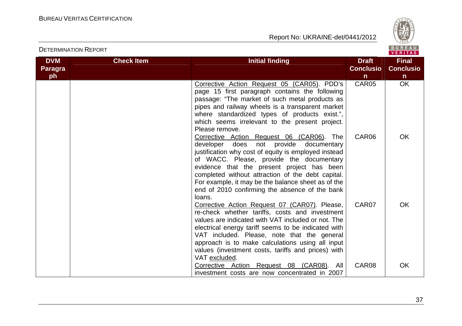



VERITAS **DVM Check Item Initial finding Check Item Initial finding Check Item Initial finding Initial finding Initial finding Final Paragra Conclusio Conclusioph nn**  OK Corrective Action Request 05 (CAR05). PDD's CAR05 page 15 first paragraph contains the following passage: "The market of such metal products as pipes and railway wheels is a transparent market where standardized types of products exist.", which seems irrelevant to the present project. Please remove. Corrective Action Request 06 (CAR06). The CAR06 OK developer does not provide documentary justification why cost of equity is employed instead of WACC. Please, provide the documentary evidence that the present project has been completed without attraction of the debt capital. For example, it may be the balance sheet as of the end of 2010 confirming the absence of the bank loans. CAR07 **OK** Corrective Action Request 07 (CAR07). Please, re-check whether tariffs, costs and investment values are indicated with VAT included or not. The electrical energy tariff seems to be indicated with VAT included. Please, note that the general approach is to make calculations using all input values (investment costs, tariffs and prices) with VAT excluded. Corrective Action Request 08 (CAR08). All CAR08 OK investment costs are now concentrated in 2007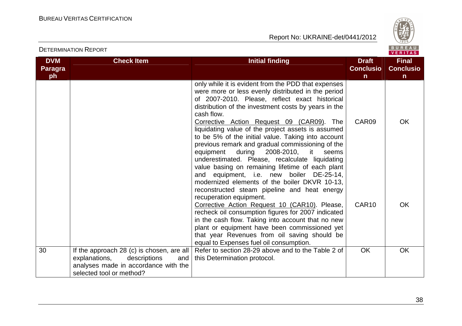

| <b>DETERMINATION REPORT</b>        |                                                                                                                                                       |                                                                                                                                                                                                                                                                                                                                                                                                                                                                                           | BUREAU<br><b>VERITAS</b>                         |                                                  |
|------------------------------------|-------------------------------------------------------------------------------------------------------------------------------------------------------|-------------------------------------------------------------------------------------------------------------------------------------------------------------------------------------------------------------------------------------------------------------------------------------------------------------------------------------------------------------------------------------------------------------------------------------------------------------------------------------------|--------------------------------------------------|--------------------------------------------------|
| <b>DVM</b><br><b>Paragra</b><br>ph | <b>Check Item</b>                                                                                                                                     | <b>Initial finding</b>                                                                                                                                                                                                                                                                                                                                                                                                                                                                    | <b>Draft</b><br><b>Conclusio</b><br>$\mathsf{n}$ | <b>Final</b><br><b>Conclusio</b><br>$\mathsf{n}$ |
|                                    |                                                                                                                                                       | only while it is evident from the PDD that expenses<br>were more or less evenly distributed in the period<br>of 2007-2010. Please, reflect exact historical<br>distribution of the investment costs by years in the<br>cash flow.<br>Corrective Action Request 09 (CAR09). The                                                                                                                                                                                                            | CAR09                                            | OK                                               |
|                                    |                                                                                                                                                       | liquidating value of the project assets is assumed<br>to be 5% of the initial value. Taking into account<br>previous remark and gradual commissioning of the<br>during 2008-2010, it<br>equipment<br>seems<br>underestimated. Please, recalculate liquidating<br>value basing on remaining lifetime of each plant<br>and equipment, i.e. new boiler DE-25-14,<br>modernized elements of the boiler DKVR 10-13,<br>reconstructed steam pipeline and heat energy<br>recuperation equipment. |                                                  |                                                  |
|                                    |                                                                                                                                                       | Corrective Action Request 10 (CAR10). Please,<br>recheck oil consumption figures for 2007 indicated<br>in the cash flow. Taking into account that no new<br>plant or equipment have been commissioned yet<br>that year Revenues from oil saving should be<br>equal to Expenses fuel oil consumption.                                                                                                                                                                                      | CAR <sub>10</sub>                                | <b>OK</b>                                        |
| 30                                 | If the approach 28 (c) is chosen, are all<br>explanations,<br>descriptions<br>and<br>analyses made in accordance with the<br>selected tool or method? | Refer to section 28-29 above and to the Table 2 of<br>this Determination protocol.                                                                                                                                                                                                                                                                                                                                                                                                        | <b>OK</b>                                        | <b>OK</b>                                        |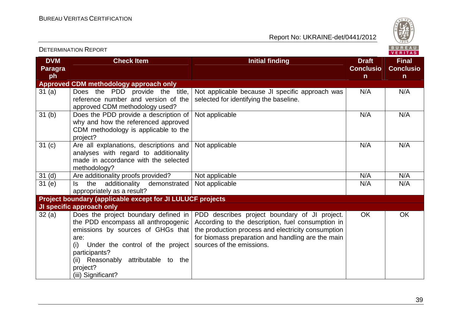

|                              | <b>DETERMINATION REPORT</b>                                                                                                                                                                                                                                   |                                                                                                                                                                                                                                            |                                  | <b>BUREAU</b><br>VERITAS         |
|------------------------------|---------------------------------------------------------------------------------------------------------------------------------------------------------------------------------------------------------------------------------------------------------------|--------------------------------------------------------------------------------------------------------------------------------------------------------------------------------------------------------------------------------------------|----------------------------------|----------------------------------|
| <b>DVM</b><br><b>Paragra</b> | <b>Check Item</b>                                                                                                                                                                                                                                             | <b>Initial finding</b>                                                                                                                                                                                                                     | <b>Draft</b><br><b>Conclusio</b> | <b>Final</b><br><b>Conclusio</b> |
| ph                           |                                                                                                                                                                                                                                                               |                                                                                                                                                                                                                                            | $\mathsf{n}$                     | $\mathsf{n}$                     |
|                              | <b>Approved CDM methodology approach only</b>                                                                                                                                                                                                                 |                                                                                                                                                                                                                                            |                                  |                                  |
| 31(a)                        | Does the PDD provide the title,<br>reference number and version of the<br>approved CDM methodology used?                                                                                                                                                      | Not applicable because JI specific approach was<br>selected for identifying the baseline.                                                                                                                                                  | N/A                              | N/A                              |
| 31 <sub>(b)</sub>            | Does the PDD provide a description of<br>why and how the referenced approved<br>CDM methodology is applicable to the<br>project?                                                                                                                              | Not applicable                                                                                                                                                                                                                             | N/A                              | N/A                              |
| 31 <sub>(c)</sub>            | Are all explanations, descriptions and<br>analyses with regard to additionality<br>made in accordance with the selected<br>methodology?                                                                                                                       | Not applicable                                                                                                                                                                                                                             | N/A                              | N/A                              |
| 31 <sub>(d)</sub>            | Are additionality proofs provided?                                                                                                                                                                                                                            | Not applicable                                                                                                                                                                                                                             | N/A                              | N/A                              |
| 31(e)                        | additionality<br>the<br>demonstrated<br>ls.<br>appropriately as a result?                                                                                                                                                                                     | Not applicable                                                                                                                                                                                                                             | N/A                              | N/A                              |
|                              | Project boundary (applicable except for JI LULUCF projects                                                                                                                                                                                                    |                                                                                                                                                                                                                                            |                                  |                                  |
|                              | <b>JI specific approach only</b>                                                                                                                                                                                                                              |                                                                                                                                                                                                                                            |                                  |                                  |
| 32(a)                        | Does the project boundary defined in<br>the PDD encompass all anthropogenic<br>emissions by sources of GHGs that<br>are:<br>(i)<br>Under the control of the project<br>participants?<br>(ii) Reasonably attributable to the<br>project?<br>(iii) Significant? | PDD describes project boundary of JI project.<br>According to the description, fuel consumption in<br>the production process and electricity consumption<br>for biomass preparation and handling are the main<br>sources of the emissions. | <b>OK</b>                        | OK                               |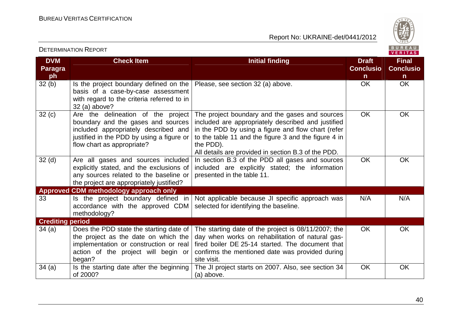

|                                    |                                                                                                                                                                                             |                                                                                                                                                                                                                                                                                        |                                        | VERITAS                                          |
|------------------------------------|---------------------------------------------------------------------------------------------------------------------------------------------------------------------------------------------|----------------------------------------------------------------------------------------------------------------------------------------------------------------------------------------------------------------------------------------------------------------------------------------|----------------------------------------|--------------------------------------------------|
| <b>DVM</b><br><b>Paragra</b><br>ph | <b>Check Item</b>                                                                                                                                                                           | <b>Initial finding</b>                                                                                                                                                                                                                                                                 | <b>Draft</b><br><b>Conclusio</b><br>n. | <b>Final</b><br><b>Conclusio</b><br>$\mathsf{n}$ |
| 32(b)                              | Is the project boundary defined on the<br>basis of a case-by-case assessment<br>with regard to the criteria referred to in<br>32 (a) above?                                                 | Please, see section 32 (a) above.                                                                                                                                                                                                                                                      | <b>OK</b>                              | OK                                               |
| 32(c)                              | Are the delineation of the project<br>boundary and the gases and sources<br>included appropriately described and<br>justified in the PDD by using a figure or<br>flow chart as appropriate? | The project boundary and the gases and sources<br>included are appropriately described and justified<br>in the PDD by using a figure and flow chart (refer<br>to the table 11 and the figure 3 and the figure 4 in<br>the PDD).<br>All details are provided in section B.3 of the PDD. | <b>OK</b>                              | OK                                               |
| 32 <sub>(d)</sub>                  | Are all gases and sources included<br>explicitly stated, and the exclusions of<br>any sources related to the baseline or<br>the project are appropriately justified?                        | In section B.3 of the PDD all gases and sources<br>included are explicitly stated; the information<br>presented in the table 11.                                                                                                                                                       | <b>OK</b>                              | OK                                               |
|                                    | Approved CDM methodology approach only                                                                                                                                                      |                                                                                                                                                                                                                                                                                        |                                        |                                                  |
| 33                                 | Is the project boundary defined in<br>accordance with the approved CDM<br>methodology?                                                                                                      | Not applicable because JI specific approach was<br>selected for identifying the baseline.                                                                                                                                                                                              | N/A                                    | N/A                                              |
| <b>Crediting period</b>            |                                                                                                                                                                                             |                                                                                                                                                                                                                                                                                        |                                        |                                                  |
| 34(a)                              | Does the PDD state the starting date of<br>the project as the date on which the<br>implementation or construction or real<br>action of the project will begin or<br>began?                  | The starting date of the project is 08/11/2007; the<br>day when works on rehabilitation of natural gas-<br>fired boiler DE 25-14 started. The document that<br>confirms the mentioned date was provided during<br>site visit.                                                          | <b>OK</b>                              | OK                                               |
| 34(a)                              | Is the starting date after the beginning<br>of 2000?                                                                                                                                        | The JI project starts on 2007. Also, see section 34<br>(a) above.                                                                                                                                                                                                                      | <b>OK</b>                              | OK                                               |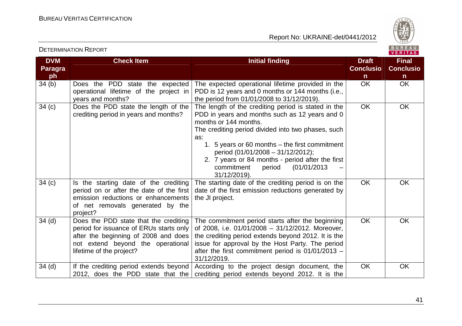



| <b>DVM</b><br><b>Paragra</b><br>ph | <b>Check Item</b>                                                                                                                                                                         | <b>Initial finding</b>                                                                                                                                                                                                                                                                                                                                                                         | <b>Draft</b><br><b>Conclusio</b><br>n | <b>Final</b><br><b>Conclusio</b><br>$\mathsf{n}$ |
|------------------------------------|-------------------------------------------------------------------------------------------------------------------------------------------------------------------------------------------|------------------------------------------------------------------------------------------------------------------------------------------------------------------------------------------------------------------------------------------------------------------------------------------------------------------------------------------------------------------------------------------------|---------------------------------------|--------------------------------------------------|
| 34 <sub>(b)</sub>                  | Does the PDD state the expected<br>operational lifetime of the project in<br>years and months?                                                                                            | The expected operational lifetime provided in the<br>PDD is 12 years and 0 months or 144 months (i.e.,<br>the period from 01/01/2008 to 31/12/2019).                                                                                                                                                                                                                                           | <b>OK</b>                             | OK                                               |
| 34(c)                              | Does the PDD state the length of the<br>crediting period in years and months?                                                                                                             | The length of the crediting period is stated in the<br>PDD in years and months such as 12 years and 0<br>months or 144 months.<br>The crediting period divided into two phases, such<br>as:<br>1. 5 years or 60 months – the first commitment<br>period (01/01/2008 - 31/12/2012);<br>2. 7 years or 84 months - period after the first<br>commitment<br>(01/01/2013)<br>period<br>31/12/2019). | <b>OK</b>                             | OK                                               |
| 34(c)                              | Is the starting date of the crediting<br>period on or after the date of the first<br>emission reductions or enhancements<br>of net removals generated by the<br>project?                  | The starting date of the crediting period is on the<br>date of the first emission reductions generated by<br>the JI project.                                                                                                                                                                                                                                                                   | OK                                    | OK                                               |
| 34 <sub>(d)</sub>                  | Does the PDD state that the crediting<br>period for issuance of ERUs starts only<br>after the beginning of 2008 and does<br>not extend beyond the operational<br>lifetime of the project? | The commitment period starts after the beginning<br>of 2008, i.e. 01/01/2008 - 31/12/2012. Moreover,<br>the crediting period extends beyond 2012. It is the<br>issue for approval by the Host Party. The period<br>after the first commitment period is 01/01/2013 -<br>31/12/2019.                                                                                                            | <b>OK</b>                             | <b>OK</b>                                        |
| 34(d)                              | If the crediting period extends beyond<br>2012, does the PDD state that the                                                                                                               | According to the project design document, the<br>crediting period extends beyond 2012. It is the                                                                                                                                                                                                                                                                                               | <b>OK</b>                             | OK                                               |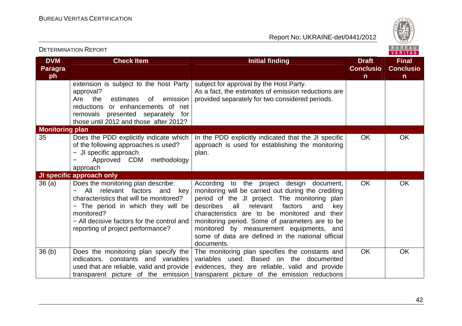

|                                    | <b>DETERMINATION REPORT</b>                                                                                                                                                                                                                                |                                                                                                                                                                                                                                                                                                                                                                                                                               |                                                  | B U K E A U  <br>VERITAS                         |
|------------------------------------|------------------------------------------------------------------------------------------------------------------------------------------------------------------------------------------------------------------------------------------------------------|-------------------------------------------------------------------------------------------------------------------------------------------------------------------------------------------------------------------------------------------------------------------------------------------------------------------------------------------------------------------------------------------------------------------------------|--------------------------------------------------|--------------------------------------------------|
| <b>DVM</b><br><b>Paragra</b><br>ph | <b>Check Item</b>                                                                                                                                                                                                                                          | <b>Initial finding</b>                                                                                                                                                                                                                                                                                                                                                                                                        | <b>Draft</b><br><b>Conclusio</b><br>$\mathsf{n}$ | <b>Final</b><br><b>Conclusio</b><br>$\mathsf{n}$ |
|                                    | extension is subject to the host Party<br>approval?<br>emission<br>Are<br>the<br>estimates<br>of<br>reductions or enhancements of net<br>removals presented separately for<br>those until 2012 and those after 2012?                                       | subject for approval by the Host Party.<br>As a fact, the estimates of emission reductions are<br>provided separately for two considered periods.                                                                                                                                                                                                                                                                             |                                                  |                                                  |
| <b>Monitoring plan</b>             |                                                                                                                                                                                                                                                            |                                                                                                                                                                                                                                                                                                                                                                                                                               |                                                  |                                                  |
| 35                                 | Does the PDD explicitly indicate which<br>of the following approaches is used?<br>- JI specific approach<br>Approved CDM methodology<br>approach                                                                                                           | In the PDD explicitly indicated that the JI specific<br>approach is used for establishing the monitoring<br>plan.                                                                                                                                                                                                                                                                                                             | <b>OK</b>                                        | OK                                               |
|                                    | JI specific approach only                                                                                                                                                                                                                                  |                                                                                                                                                                                                                                                                                                                                                                                                                               |                                                  |                                                  |
| 36(a)                              | Does the monitoring plan describe:<br>relevant factors and<br>All<br>kev<br>characteristics that will be monitored?<br>- The period in which they will be<br>monitored?<br>- All decisive factors for the control and<br>reporting of project performance? | According to the project design document,<br>monitoring will be carried out during the crediting<br>period of the JI project. The monitoring plan<br>describes all<br>relevant<br>factors<br>and<br>key<br>characteristics are to be monitored and<br>their<br>monitoring period. Some of parameters are to be<br>monitored by measurement equipments, and<br>some of data are defined in the national official<br>documents. | <b>OK</b>                                        | <b>OK</b>                                        |
| 36 <sub>(b)</sub>                  | Does the monitoring plan specify the<br>indicators, constants and variables<br>used that are reliable, valid and provide<br>transparent picture of the emission                                                                                            | The monitoring plan specifies the constants and<br>variables used. Based on the documented<br>evidences, they are reliable, valid and provide<br>transparent picture of the emission reductions                                                                                                                                                                                                                               | <b>OK</b>                                        | <b>OK</b>                                        |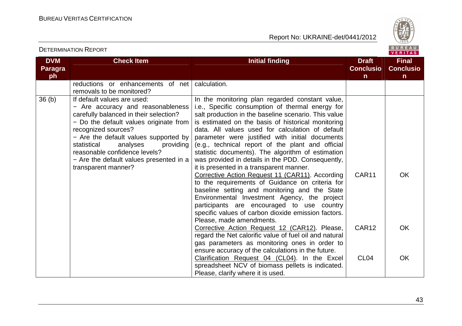

VERITAS

#### **DVM Paragraph Check Item Initial finding Check Item Initial finding Check Item Initial finding Initial finding Initial finding ConclusionFinal Conclusion** reductions or enhancements of net calculation. removals to be monitored?  $36(b)$  If default values are used: − Are accuracy and reasonableness carefully balanced in their selection? − Do the default values originate from recognized sources? − Are the default values supported by statistical analyses providing reasonable confidence levels? − Are the default values presented in a transparent manner? In the monitoring plan regarded constant value, i.e., Specific consumption of thermal energy for salt production in the baseline scenario. This value is estimated on the basis of historical monitoring data. All values used for calculation of default parameter were justified with initial documents (e.g., technical report of the plant and official statistic documents). The algorithm of estimation was provided in details in the PDD. Consequently, it is presented in a transparent manner. Corrective Action Request 11 (CAR11). According to the requirements of Guidance on criteria for baseline setting and monitoring and the State Environmental Investment Agency, the project participants are encouraged to use country specific values of carbon dioxide emission factors.Please, made amendments. Corrective Action Request 12 (CAR12). Please, regard the Net calorific value of fuel oil and natural gas parameters as monitoring ones in order to ensure accuracy of the calculations in the future. Clarification Request 04 (CL04). In the Excel spreadsheet NCV of biomass pellets is indicated. Please, clarify where it is used. CAR11 CAR12 CL04 **OK OK OK**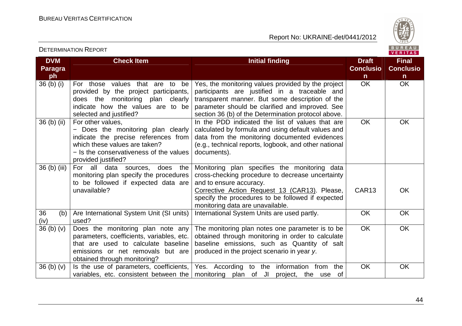Report No: UKRAINE-det/0441/2012



VERITAS

#### **DVM Paragraph**  $36$  (b) (i) **Check Item Draft Check Item Initial finding Check Item Draft Conclusion** $\overline{OK}$ **Final Conclusion** OK OK For those values that are to be provided by the project participants, does the monitoring plan clearly indicate how the values are to be selected and justified? Yes, the monitoring values provided by the project participants are justified in a traceable and transparent manner. But some description of the parameter should be clarified and improved. See section 36 (b) of the Determination protocol above. In the PDD indicated the list of values that are 36 (b) (ii)  $\vert$  For other values, − Does the monitoring plan clearly indicate the precise references from which these values are taken? − Is the conservativeness of the values provided justified? ) For all data sources, does the calculated by formula and using default values and data from the monitoring documented evidences (e.g., technical reports, logbook, and other national documents). OK OK  $36$  (b) (iii) monitoring plan specify the procedures to be followed if expected data are unavailable? Monitoring plan specifies the monitoring data cross-checking procedure to decrease uncertainty and to ensure accuracy. Corrective Action Request 13 (CAR13). Please, specify the procedures to be followed if expected monitoring data are unavailable. International System Units are used partly. The Nok Theory OK CAR13 OK 36 (b) (iv)  $36(b)(v)$ Are International System Unit (SI units) used?  $36$  (b) (v) Does the monitoring plan note any parameters, coefficients, variables, etc. that are used to calculate baseline emissions or net removals but are obtained through monitoring? 36 (b) (v)  $\vert$  is the use of parameters, coefficients, The monitoring plan notes one parameter is to be obtained through monitoring in order to calculate baseline emissions, such as Quantity of salt produced in the project scenario in year y. OK OK variables, etc. consistent between the | monitoring plan of JI project, the use of Yes. According to the information from the OK OK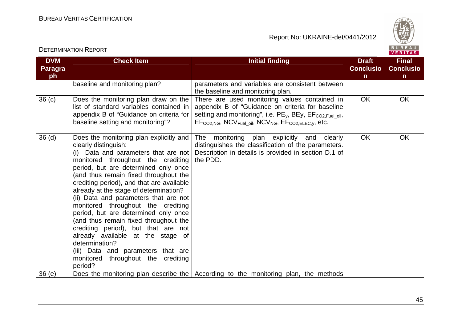

| <b>DVM</b><br><b>Paragra</b><br>ph | <b>Check Item</b>                                                                                                                                                                                                                                                                                                                                                                                                                                                                                                                                                                                                                                                          | <b>Initial finding</b>                                                                                                                                                                                                                                                                        | <b>Draft</b><br><b>Conclusio</b><br>$\mathsf{n}$ | <b>Final</b><br><b>Conclusio</b><br>n |
|------------------------------------|----------------------------------------------------------------------------------------------------------------------------------------------------------------------------------------------------------------------------------------------------------------------------------------------------------------------------------------------------------------------------------------------------------------------------------------------------------------------------------------------------------------------------------------------------------------------------------------------------------------------------------------------------------------------------|-----------------------------------------------------------------------------------------------------------------------------------------------------------------------------------------------------------------------------------------------------------------------------------------------|--------------------------------------------------|---------------------------------------|
|                                    | baseline and monitoring plan?                                                                                                                                                                                                                                                                                                                                                                                                                                                                                                                                                                                                                                              | parameters and variables are consistent between<br>the baseline and monitoring plan.                                                                                                                                                                                                          |                                                  |                                       |
| 36 <sub>(c)</sub>                  | Does the monitoring plan draw on the<br>list of standard variables contained in<br>appendix B of "Guidance on criteria for<br>baseline setting and monitoring"?                                                                                                                                                                                                                                                                                                                                                                                                                                                                                                            | There are used monitoring values contained in<br>appendix B of "Guidance on criteria for baseline<br>setting and monitoring", i.e. PE <sub>v</sub> , BEy, EF <sub>CO2.Fuel oil,</sub><br>EF <sub>CO2.NG</sub> , NCV <sub>Fuel_oil</sub> , NCV <sub>NG</sub> , EF <sub>CO2,ELEC,y</sub> , etc. | <b>OK</b>                                        | OK                                    |
| 36 <sub>(d)</sub>                  | Does the monitoring plan explicitly and<br>clearly distinguish:<br>(i) Data and parameters that are not<br>monitored throughout the crediting<br>period, but are determined only once<br>(and thus remain fixed throughout the<br>crediting period), and that are available<br>already at the stage of determination?<br>(ii) Data and parameters that are not<br>monitored throughout the crediting<br>period, but are determined only once<br>(and thus remain fixed throughout the<br>crediting period), but that are not<br>already available at the stage of<br>determination?<br>(iii) Data and parameters that are<br>monitored throughout the crediting<br>period? | monitoring plan explicitly and clearly<br>The<br>distinguishes the classification of the parameters.<br>Description in details is provided in section D.1 of<br>the PDD.                                                                                                                      | OK                                               | OK                                    |
| 36(e)                              |                                                                                                                                                                                                                                                                                                                                                                                                                                                                                                                                                                                                                                                                            | Does the monitoring plan describe the According to the monitoring plan, the methods                                                                                                                                                                                                           |                                                  |                                       |

DETERMINATION REPORT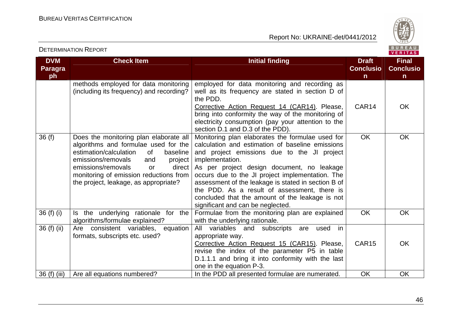

| <b>DVM</b><br><b>Paragra</b><br>ph | <b>Check Item</b>                                                                                                                                                                                                                                                                                  | <b>Initial finding</b>                                                                                                                                                                                                                                                                                                                                                                                                                                                  | <b>Draft</b><br><b>Conclusio</b><br>n | <b>Final</b><br><b>Conclusio</b><br>$\mathsf{n}$ |
|------------------------------------|----------------------------------------------------------------------------------------------------------------------------------------------------------------------------------------------------------------------------------------------------------------------------------------------------|-------------------------------------------------------------------------------------------------------------------------------------------------------------------------------------------------------------------------------------------------------------------------------------------------------------------------------------------------------------------------------------------------------------------------------------------------------------------------|---------------------------------------|--------------------------------------------------|
|                                    | methods employed for data monitoring<br>(including its frequency) and recording?                                                                                                                                                                                                                   | employed for data monitoring and recording as<br>well as its frequency are stated in section D of<br>the PDD.<br>Corrective Action Request 14 (CAR14). Please,<br>bring into conformity the way of the monitoring of<br>electricity consumption (pay your attention to the<br>section D.1 and D.3 of the PDD).                                                                                                                                                          | CAR14                                 | <b>OK</b>                                        |
| 36(f)                              | Does the monitoring plan elaborate all<br>algorithms and formulae used for the<br>estimation/calculation<br>of<br>baseline<br>emissions/removals<br>and<br>project<br>emissions/removals<br>direct<br><b>or</b><br>monitoring of emission reductions from<br>the project, leakage, as appropriate? | Monitoring plan elaborates the formulae used for<br>calculation and estimation of baseline emissions<br>and project emissions due to the JI project<br>implementation.<br>As per project design document, no leakage<br>occurs due to the JI project implementation. The<br>assessment of the leakage is stated in section B of<br>the PDD. As a result of assessment, there is<br>concluded that the amount of the leakage is not<br>significant and can be neglected. | <b>OK</b>                             | <b>OK</b>                                        |
| $36(f)$ (i)                        | Is the underlying rationale for the<br>algorithms/formulae explained?                                                                                                                                                                                                                              | Formulae from the monitoring plan are explained<br>with the underlying rationale.                                                                                                                                                                                                                                                                                                                                                                                       | <b>OK</b>                             | OK                                               |
| 36 (f) (ii)                        | Are consistent variables,<br>equation<br>formats, subscripts etc. used?                                                                                                                                                                                                                            | variables and subscripts<br>All<br>used<br>in<br>are<br>appropriate way.<br>Corrective Action Request 15 (CAR15). Please,<br>revise the index of the parameter P5 in table<br>D.1.1.1 and bring it into conformity with the last<br>one in the equation P-3.                                                                                                                                                                                                            | CAR <sub>15</sub>                     | <b>OK</b>                                        |
| 36 (f) (iii)                       | Are all equations numbered?                                                                                                                                                                                                                                                                        | In the PDD all presented formulae are numerated.                                                                                                                                                                                                                                                                                                                                                                                                                        | OK                                    | <b>OK</b>                                        |

DETERMINATION REPORT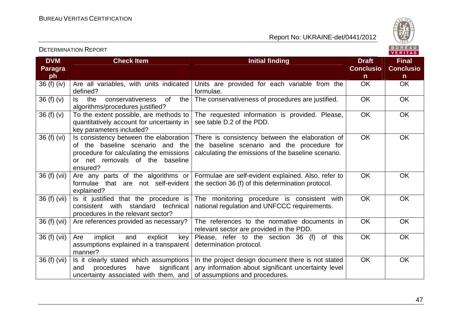

|                              |                                                                                                                                                                      |                                                                                                                                                       |                                  | VERIIAS.                         |
|------------------------------|----------------------------------------------------------------------------------------------------------------------------------------------------------------------|-------------------------------------------------------------------------------------------------------------------------------------------------------|----------------------------------|----------------------------------|
| <b>DVM</b><br><b>Paragra</b> | <b>Check Item</b>                                                                                                                                                    | <b>Initial finding</b>                                                                                                                                | <b>Draft</b><br><b>Conclusio</b> | <b>Final</b><br><b>Conclusio</b> |
| ph                           |                                                                                                                                                                      |                                                                                                                                                       | $\mathsf{n}$                     | $\mathsf{n}$                     |
| $36(f)$ (iv)                 | Are all variables, with units indicated<br>defined?                                                                                                                  | Units are provided for each variable from the<br>formulae.                                                                                            | <b>OK</b>                        | <b>OK</b>                        |
| 36(f)(v)                     | the<br>conservativeness<br>0f<br>the<br>ls.<br>algorithms/procedures justified?                                                                                      | The conservativeness of procedures are justified.                                                                                                     | <b>OK</b>                        | <b>OK</b>                        |
| 36(f)(v)                     | To the extent possible, are methods to<br>quantitatively account for uncertainty in<br>key parameters included?                                                      | The requested information is provided. Please,<br>see table D.2 of the PDD.                                                                           | <b>OK</b>                        | OK                               |
| 36 (f) (vi)                  | Is consistency between the elaboration<br>of the baseline scenario and the<br>procedure for calculating the emissions<br>or net removals of the baseline<br>ensured? | There is consistency between the elaboration of<br>the baseline scenario and the procedure for<br>calculating the emissions of the baseline scenario. | <b>OK</b>                        | OK                               |
| 36 (f) (vii)                 | Are any parts of the algorithms or<br>formulae that are not self-evident<br>explained?                                                                               | Formulae are self-evident explained. Also, refer to<br>the section 36 (f) of this determination protocol.                                             | <b>OK</b>                        | <b>OK</b>                        |
| 36 (f) (vii)                 | Is it justified that the procedure is<br>consistent with standard technical<br>procedures in the relevant sector?                                                    | The monitoring procedure is consistent with<br>national regulation and UNFCCC requirements.                                                           | <b>OK</b>                        | OK                               |
| 36 (f) (vii)                 | Are references provided as necessary?                                                                                                                                | The references to the normative documents in<br>relevant sector are provided in the PDD.                                                              | OK                               | OK                               |
| 36 (f) (vii)                 | implicit<br>Are<br>and<br>explicit<br>key<br>assumptions explained in a transparent<br>manner?                                                                       | Please, refer to the section 36 (f) of this<br>determination protocol.                                                                                | <b>OK</b>                        | OK                               |
| 36 (f) (vii)                 | Is it clearly stated which assumptions<br>significant<br>procedures<br>have<br>and<br>uncertainty associated with them, and $\vert$ of assumptions and procedures.   | In the project design document there is not stated<br>any information about significant uncertainty level                                             | <b>OK</b>                        | OK                               |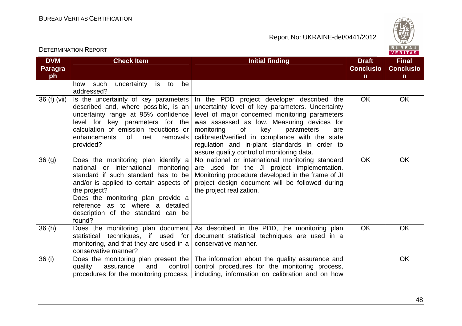

| <b>DVM</b><br><b>Paragra</b><br>ph | <b>Check Item</b>                                                                                                                                                                                                                                                                                          | <b>Initial finding</b>                                                                                                                                                                                                                                                                                                                                                                            | <b>Draft</b><br><b>Conclusio</b><br>n | <b>Final</b><br><b>Conclusio</b><br>$\mathsf{n}$ |
|------------------------------------|------------------------------------------------------------------------------------------------------------------------------------------------------------------------------------------------------------------------------------------------------------------------------------------------------------|---------------------------------------------------------------------------------------------------------------------------------------------------------------------------------------------------------------------------------------------------------------------------------------------------------------------------------------------------------------------------------------------------|---------------------------------------|--------------------------------------------------|
|                                    | uncertainty<br>is to<br>be<br>such<br>how<br>addressed?                                                                                                                                                                                                                                                    |                                                                                                                                                                                                                                                                                                                                                                                                   |                                       |                                                  |
| 36 (f) (vii)                       | Is the uncertainty of key parameters<br>described and, where possible, is an<br>uncertainty range at 95% confidence<br>level for key parameters for the<br>calculation of emission reductions or<br>enhancements<br>of l<br>net<br>removals<br>provided?                                                   | In the PDD project developer described the<br>uncertainty level of key parameters. Uncertainty<br>level of major concerned monitoring parameters<br>was assessed as low. Measuring devices for<br>monitoring<br>of<br>key<br>parameters<br>are<br>calibrated/verified in compliance with the state<br>regulation and in-plant standards in order to<br>assure quality control of monitoring data. | <b>OK</b>                             | <b>OK</b>                                        |
| 36(9)                              | Does the monitoring plan identify a<br>national or international<br>monitoring<br>standard if such standard has to be<br>and/or is applied to certain aspects of<br>the project?<br>Does the monitoring plan provide a<br>reference as to where a detailed<br>description of the standard can be<br>found? | No national or international monitoring standard<br>are used for the JI project implementation.<br>Monitoring procedure developed in the frame of JI<br>project design document will be followed during<br>the project realization.                                                                                                                                                               | <b>OK</b>                             | <b>OK</b>                                        |
| 36(h)                              | Does the monitoring plan document<br>techniques, if used for<br>statistical<br>monitoring, and that they are used in a<br>conservative manner?                                                                                                                                                             | As described in the PDD, the monitoring plan<br>document statistical techniques are used in a<br>conservative manner.                                                                                                                                                                                                                                                                             | <b>OK</b>                             | <b>OK</b>                                        |
| 36(i)                              | Does the monitoring plan present the<br>and<br>control<br>quality<br>assurance<br>procedures for the monitoring process,                                                                                                                                                                                   | The information about the quality assurance and<br>control procedures for the monitoring process,<br>including, information on calibration and on how                                                                                                                                                                                                                                             |                                       | <b>OK</b>                                        |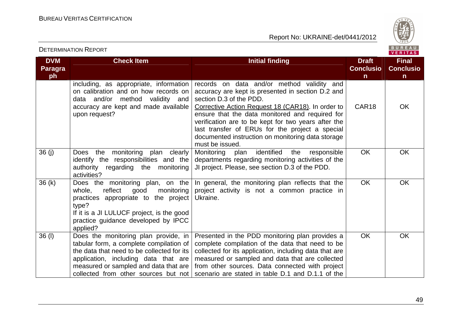

| <b>DVM</b><br><b>Paragra</b><br>ph | <b>Check Item</b>                                                                                                                                                                                                                                      | <b>Initial finding</b>                                                                                                                                                                                                                                                                                                                                                                                               | <b>Draft</b><br><b>Conclusio</b><br>n. | <b>Final</b><br><b>Conclusio</b><br>n. |
|------------------------------------|--------------------------------------------------------------------------------------------------------------------------------------------------------------------------------------------------------------------------------------------------------|----------------------------------------------------------------------------------------------------------------------------------------------------------------------------------------------------------------------------------------------------------------------------------------------------------------------------------------------------------------------------------------------------------------------|----------------------------------------|----------------------------------------|
|                                    | including, as appropriate, information<br>on calibration and on how records on<br>data and/or method validity and<br>accuracy are kept and made available<br>upon request?                                                                             | records on data and/or method validity and<br>accuracy are kept is presented in section D.2 and<br>section D.3 of the PDD.<br>Corrective Action Request 18 (CAR18). In order to<br>ensure that the data monitored and required for<br>verification are to be kept for two years after the<br>last transfer of ERUs for the project a special<br>documented instruction on monitoring data storage<br>must be issued. | CAR18                                  | <b>OK</b>                              |
| 36(j)                              | monitoring<br>plan clearly<br><b>Does</b><br>the<br>identify the responsibilities and the<br>authority regarding the monitoring<br>activities?                                                                                                         | Monitoring<br>identified<br>the<br>plan<br>responsible<br>departments regarding monitoring activities of the<br>JI project. Please, see section D.3 of the PDD.                                                                                                                                                                                                                                                      | <b>OK</b>                              | <b>OK</b>                              |
| 36(k)                              | Does the monitoring plan, on the<br>whole,<br>reflect<br>good<br>monitoring<br>practices appropriate to the project<br>type?<br>If it is a JI LULUCF project, is the good<br>practice guidance developed by IPCC<br>applied?                           | In general, the monitoring plan reflects that the<br>project activity is not a common practice in<br>Ukraine.                                                                                                                                                                                                                                                                                                        | <b>OK</b>                              | OK                                     |
| $36$ (I)                           | Does the monitoring plan provide, in<br>tabular form, a complete compilation of<br>the data that need to be collected for its<br>application, including data that are<br>measured or sampled and data that are<br>collected from other sources but not | Presented in the PDD monitoring plan provides a<br>complete compilation of the data that need to be<br>collected for its application, including data that are<br>measured or sampled and data that are collected<br>from other sources. Data connected with project<br>scenario are stated in table D.1 and D.1.1 of the                                                                                             | <b>OK</b>                              | OK                                     |

DETERMINATION REPORT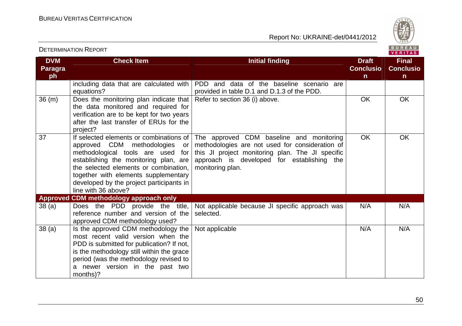

|                                    |                                                                                                                                                                                                                                                                                                               |                                                                                                                                                                                                                   | VERITAS                               |                                       |
|------------------------------------|---------------------------------------------------------------------------------------------------------------------------------------------------------------------------------------------------------------------------------------------------------------------------------------------------------------|-------------------------------------------------------------------------------------------------------------------------------------------------------------------------------------------------------------------|---------------------------------------|---------------------------------------|
| <b>DVM</b><br><b>Paragra</b><br>ph | <b>Check Item</b>                                                                                                                                                                                                                                                                                             | <b>Initial finding</b>                                                                                                                                                                                            | <b>Draft</b><br><b>Conclusio</b><br>n | <b>Final</b><br><b>Conclusio</b><br>n |
|                                    | including data that are calculated with<br>equations?                                                                                                                                                                                                                                                         | PDD and data of the baseline scenario are<br>provided in table D.1 and D.1.3 of the PDD.                                                                                                                          |                                       |                                       |
| 36 (m)                             | Does the monitoring plan indicate that<br>the data monitored and required for<br>verification are to be kept for two years<br>after the last transfer of ERUs for the<br>project?                                                                                                                             | Refer to section 36 (i) above.                                                                                                                                                                                    | OK                                    | OK                                    |
| 37                                 | If selected elements or combinations of<br>approved CDM methodologies<br>or<br>methodological tools are used for<br>establishing the monitoring plan, are<br>the selected elements or combination.<br>together with elements supplementary<br>developed by the project participants in<br>line with 36 above? | The approved CDM baseline and monitoring<br>methodologies are not used for consideration of<br>this JI project monitoring plan. The JI specific<br>approach is developed for establishing the<br>monitoring plan. | <b>OK</b>                             | <b>OK</b>                             |
|                                    | Approved CDM methodology approach only                                                                                                                                                                                                                                                                        |                                                                                                                                                                                                                   |                                       |                                       |
| 38(a)                              | Does the PDD provide the title,<br>reference number and version of the<br>approved CDM methodology used?                                                                                                                                                                                                      | Not applicable because JI specific approach was<br>selected.                                                                                                                                                      | N/A                                   | N/A                                   |
| 38(a)                              | Is the approved CDM methodology the<br>most recent valid version when the<br>PDD is submitted for publication? If not,<br>is the methodology still within the grace<br>period (was the methodology revised to<br>a newer version in the past two<br>months)?                                                  | Not applicable                                                                                                                                                                                                    | N/A                                   | N/A                                   |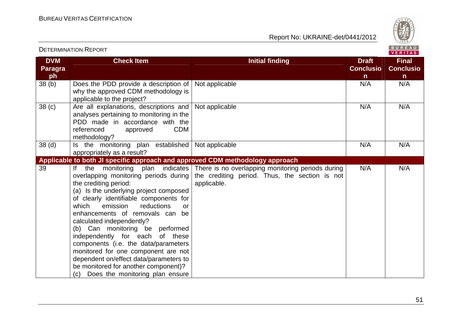

| <b>DETERMINATION REPORT</b>        |                                                                                                                                                                                                                                                                                                                                                                                                                                                                                                                                                                                  |                                                                                                                    | BUREAU<br><b>VERITAS</b>                         |                                                  |
|------------------------------------|----------------------------------------------------------------------------------------------------------------------------------------------------------------------------------------------------------------------------------------------------------------------------------------------------------------------------------------------------------------------------------------------------------------------------------------------------------------------------------------------------------------------------------------------------------------------------------|--------------------------------------------------------------------------------------------------------------------|--------------------------------------------------|--------------------------------------------------|
| <b>DVM</b><br><b>Paragra</b><br>ph | <b>Check Item</b>                                                                                                                                                                                                                                                                                                                                                                                                                                                                                                                                                                | <b>Initial finding</b>                                                                                             | <b>Draft</b><br><b>Conclusio</b><br>$\mathsf{n}$ | <b>Final</b><br><b>Conclusio</b><br>$\mathsf{n}$ |
| 38 <sub>(b)</sub>                  | Does the PDD provide a description of<br>why the approved CDM methodology is<br>applicable to the project?                                                                                                                                                                                                                                                                                                                                                                                                                                                                       | Not applicable                                                                                                     | N/A                                              | N/A                                              |
| 38 <sub>(c)</sub>                  | Are all explanations, descriptions and<br>analyses pertaining to monitoring in the<br>PDD made in accordance with the<br><b>CDM</b><br>referenced<br>approved<br>methodology?                                                                                                                                                                                                                                                                                                                                                                                                    | Not applicable                                                                                                     | N/A                                              | N/A                                              |
| 38 <sub>(d)</sub>                  | Is the monitoring plan established<br>appropriately as a result?                                                                                                                                                                                                                                                                                                                                                                                                                                                                                                                 | Not applicable                                                                                                     | N/A                                              | N/A                                              |
|                                    | Applicable to both JI specific approach and approved CDM methodology approach                                                                                                                                                                                                                                                                                                                                                                                                                                                                                                    |                                                                                                                    |                                                  |                                                  |
| 39                                 | If the monitoring plan indicates<br>overlapping monitoring periods during<br>the crediting period:<br>(a) Is the underlying project composed<br>of clearly identifiable components for<br>which<br>emission<br>reductions<br>or<br>enhancements of removals can be<br>calculated independently?<br>(b) Can monitoring be performed<br>independently for each<br>of these<br>components (i.e. the data/parameters<br>monitored for one component are not<br>dependent on/effect data/parameters to<br>be monitored for another component)?<br>(c) Does the monitoring plan ensure | There is no overlapping monitoring periods during<br>the crediting period. Thus, the section is not<br>applicable. | N/A                                              | N/A                                              |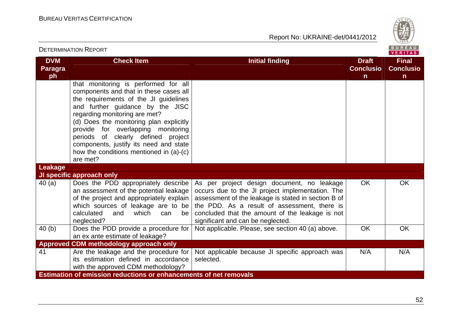

| <b>DETERMINATION REPORT</b>        |                                                                                                                                                                                                                                                                                                                                                                                                                      |                                                                                                                                                                                                                                                                                               |                                       |                                                  |  |
|------------------------------------|----------------------------------------------------------------------------------------------------------------------------------------------------------------------------------------------------------------------------------------------------------------------------------------------------------------------------------------------------------------------------------------------------------------------|-----------------------------------------------------------------------------------------------------------------------------------------------------------------------------------------------------------------------------------------------------------------------------------------------|---------------------------------------|--------------------------------------------------|--|
| <b>DVM</b><br><b>Paragra</b><br>ph | <b>Check Item</b>                                                                                                                                                                                                                                                                                                                                                                                                    | <b>Initial finding</b>                                                                                                                                                                                                                                                                        | <b>Draft</b><br><b>Conclusio</b><br>n | <b>Final</b><br><b>Conclusio</b><br>$\mathsf{n}$ |  |
|                                    | that monitoring is performed for all<br>components and that in these cases all<br>the requirements of the JI guidelines<br>and further guidance by the JISC<br>regarding monitoring are met?<br>(d) Does the monitoring plan explicitly<br>provide for overlapping monitoring<br>periods of clearly defined project<br>components, justify its need and state<br>how the conditions mentioned in (a)-(c)<br>are met? |                                                                                                                                                                                                                                                                                               |                                       |                                                  |  |
| <b>Leakage</b>                     |                                                                                                                                                                                                                                                                                                                                                                                                                      |                                                                                                                                                                                                                                                                                               |                                       |                                                  |  |
|                                    | JI specific approach only                                                                                                                                                                                                                                                                                                                                                                                            |                                                                                                                                                                                                                                                                                               |                                       |                                                  |  |
| 40(a)                              | Does the PDD appropriately describe<br>an assessment of the potential leakage<br>of the project and appropriately explain  <br>which sources of leakage are to be<br>which<br>calculated<br>and<br>can<br>be l<br>neglected?                                                                                                                                                                                         | As per project design document, no leakage<br>occurs due to the JI project implementation. The<br>assessment of the leakage is stated in section B of<br>the PDD. As a result of assessment, there is<br>concluded that the amount of the leakage is not<br>significant and can be neglected. | <b>OK</b>                             | <b>OK</b>                                        |  |
| 40(b)                              | Does the PDD provide a procedure for                                                                                                                                                                                                                                                                                                                                                                                 | Not applicable. Please, see section 40 (a) above.                                                                                                                                                                                                                                             | <b>OK</b>                             | <b>OK</b>                                        |  |
|                                    | an ex ante estimate of leakage?                                                                                                                                                                                                                                                                                                                                                                                      |                                                                                                                                                                                                                                                                                               |                                       |                                                  |  |
|                                    | Approved CDM methodology approach only                                                                                                                                                                                                                                                                                                                                                                               |                                                                                                                                                                                                                                                                                               |                                       |                                                  |  |
| 41                                 | Are the leakage and the procedure for $ $<br>its estimation defined in accordance<br>with the approved CDM methodology?                                                                                                                                                                                                                                                                                              | Not applicable because JI specific approach was<br>selected.                                                                                                                                                                                                                                  | N/A                                   | N/A                                              |  |
|                                    | <b>Estimation of emission reductions or enhancements of net removals</b>                                                                                                                                                                                                                                                                                                                                             |                                                                                                                                                                                                                                                                                               |                                       |                                                  |  |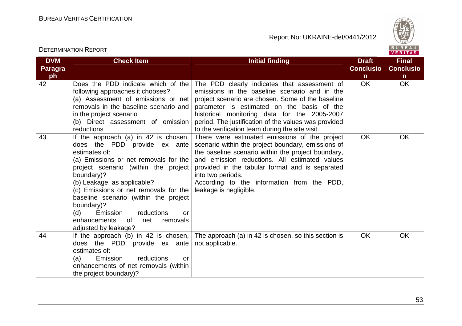Report No: UKRAINE-det/0441/2012



VERITAS

#### **DVM Paragraph Check Item Initial finding Check Item Initial finding Check Item Initial finding Initial finding Initial finding Conclusion** $\overline{OK}$ **Final Conclusion** OK OK 42 Does the PDD indicate which of the following approaches it chooses? (a) Assessment of emissions or net removals in the baseline scenario and in the project scenario (b) Direct assessment of emission reductions  $43$  If the approach (a) in 42 is chosen, The PDD clearly indicates that assessment of emissions in the baseline scenario and in the project scenario are chosen. Some of the baseline parameter is estimated on the basis of the historical monitoring data for the 2005-2007 period. The justification of the values was provided to the verification team during the site visit. There were estimated emissions of the project does the PDD provide ex ante estimates of: (a) Emissions or net removals for the project scenario (within the project boundary)? (b) Leakage, as applicable? (c) Emissions or net removals for the baseline scenario (within the project boundary)? (d) Emission reductions or net removals enhancements of adjusted by leakage?  $44$  | If the approach (b) in 42 is chosen, scenario within the project boundary, emissions of the baseline scenario within the project boundary, and emission reductions. All estimated values provided in the tabular format and is separated into two periods. According to the information from the PDD, leakage is negligible. OK OK does the PDD provide ex ante estimates of: Emission (a) Emission reductions or enhancements of net removals (within the project boundary)? The approach (a) in 42 is chosen, so this section is not applicable. OK OK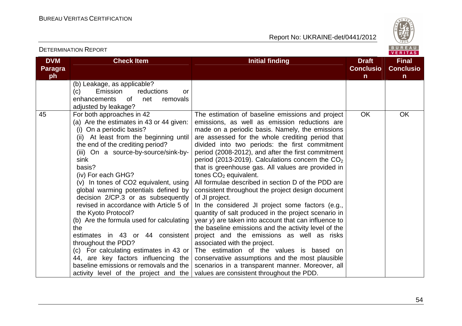Report No: UKRAINE-det/0441/2012



#### VERITAS **DVM Check Item Initial finding Check Item Initial finding Initial finding Initial finding Initial finding Initial finding Initial finding Initial finding Initial finding Initial finding Initial finding Initial finding Initial Final Paragra Conclusio Conclusioph nn** (b) Leakage, as applicable? (c) Emission reductions or enhancements of net removals adjusted by leakage? OK OK 45 For both approaches in 42 The estimation of baseline emissions and project (a) Are the estimates in 43 or 44 given: emissions, as well as emission reductions are (i) On a periodic basis? made on a periodic basis. Namely, the emissions (ii) At least from the beginning until are assessed for the whole crediting period that the end of the crediting period? divided into two periods: the first commitment (iii) On a source-by-source/sink-by period (2008-2012), and after the first commitment sink period (2013-2019). Calculations concern the  $CO<sub>2</sub>$  basis? that is greenhouse gas. All values are provided in (iv) For each GHG? tones  $CO<sub>2</sub>$  equivalent. (v) In tones of CO2 equivalent, using All formulae described in section D of the PDD are global warming potentials defined by consistent throughout the project design document decision 2/CP.3 or as subsequently of JI project. revised in accordance with Article 5 of In the considered JI project some factors (e.g., the Kyoto Protocol? quantity of salt produced in the project scenario in (b) Are the formula used for calculating year y) are taken into account that can influence to the baseline emissions and the activity level of the the estimates in 43 or 44 consistent project and the emissions as well as risks throughout the PDD? associated with the project. (c) For calculating estimates in 43 or The estimation of the values is based on 44, are key factors influencing the conservative assumptions and the most plausible baseline emissions or removals and the scenarios in a transparent manner. Moreover, all activity level of the project and the values are consistent throughout the PDD.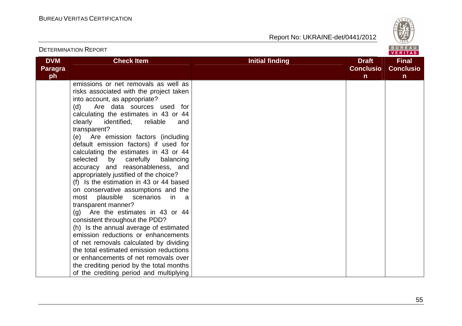

| <b>DETERMINATION REPORT</b>        |                                                                                                                                                                                                                                                                                                                                                                                                                                                                                                                                                                                                                                                                                                                                                                                                                                                                                                                                                                                                                                              |                        |                                       |                                                  |
|------------------------------------|----------------------------------------------------------------------------------------------------------------------------------------------------------------------------------------------------------------------------------------------------------------------------------------------------------------------------------------------------------------------------------------------------------------------------------------------------------------------------------------------------------------------------------------------------------------------------------------------------------------------------------------------------------------------------------------------------------------------------------------------------------------------------------------------------------------------------------------------------------------------------------------------------------------------------------------------------------------------------------------------------------------------------------------------|------------------------|---------------------------------------|--------------------------------------------------|
| <b>DVM</b><br><b>Paragra</b><br>ph | <b>Check Item</b>                                                                                                                                                                                                                                                                                                                                                                                                                                                                                                                                                                                                                                                                                                                                                                                                                                                                                                                                                                                                                            | <b>Initial finding</b> | <b>Draft</b><br><b>Conclusio</b><br>n | <b>Final</b><br><b>Conclusio</b><br>$\mathsf{n}$ |
|                                    | emissions or net removals as well as<br>risks associated with the project taken<br>into account, as appropriate?<br>Are data sources used for<br>(d)<br>calculating the estimates in 43 or 44<br>clearly identified,<br>reliable<br>and<br>transparent?<br>(e) Are emission factors (including<br>default emission factors) if used for<br>calculating the estimates in 43 or 44<br>selected<br>by carefully<br>balancing<br>accuracy and reasonableness, and<br>appropriately justified of the choice?<br>(f) Is the estimation in 43 or 44 based<br>on conservative assumptions and the<br>most plausible<br>scenarios<br>in.<br>a a<br>transparent manner?<br>Are the estimates in 43 or 44<br>(g)<br>consistent throughout the PDD?<br>(h) Is the annual average of estimated<br>emission reductions or enhancements<br>of net removals calculated by dividing<br>the total estimated emission reductions<br>or enhancements of net removals over<br>the crediting period by the total months<br>of the crediting period and multiplying |                        |                                       |                                                  |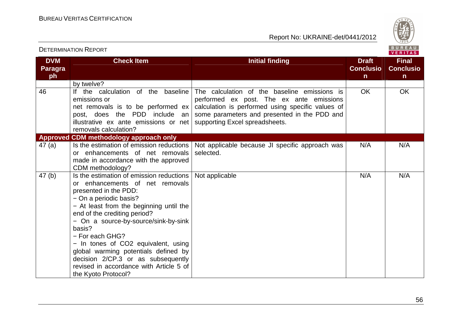

| <b>DETERMINATION REPORT</b>        |                                                                                                                                                                                                                                                                                                                                                                                                                                                                       |                                                                                                                                                                                                                                 |                                                  |                                                  |  |
|------------------------------------|-----------------------------------------------------------------------------------------------------------------------------------------------------------------------------------------------------------------------------------------------------------------------------------------------------------------------------------------------------------------------------------------------------------------------------------------------------------------------|---------------------------------------------------------------------------------------------------------------------------------------------------------------------------------------------------------------------------------|--------------------------------------------------|--------------------------------------------------|--|
| <b>DVM</b><br><b>Paragra</b><br>ph | <b>Check Item</b>                                                                                                                                                                                                                                                                                                                                                                                                                                                     | <b>Initial finding</b>                                                                                                                                                                                                          | <b>Draft</b><br><b>Conclusio</b><br>$\mathsf{n}$ | <b>Final</b><br><b>Conclusio</b><br>$\mathsf{n}$ |  |
|                                    | by twelve?                                                                                                                                                                                                                                                                                                                                                                                                                                                            |                                                                                                                                                                                                                                 |                                                  |                                                  |  |
| 46                                 | If the calculation of the<br>baseline<br>emissions or<br>net removals is to be performed ex<br>PDD include an<br>post, does the<br>illustrative ex ante emissions or net<br>removals calculation?                                                                                                                                                                                                                                                                     | The calculation of the baseline emissions is<br>performed ex post. The ex ante emissions<br>calculation is performed using specific values of<br>some parameters and presented in the PDD and<br>supporting Excel spreadsheets. | <b>OK</b>                                        | <b>OK</b>                                        |  |
|                                    | Approved CDM methodology approach only                                                                                                                                                                                                                                                                                                                                                                                                                                |                                                                                                                                                                                                                                 |                                                  |                                                  |  |
| 47(a)                              | Is the estimation of emission reductions<br>or enhancements of net removals<br>made in accordance with the approved<br>CDM methodology?                                                                                                                                                                                                                                                                                                                               | Not applicable because JI specific approach was<br>selected.                                                                                                                                                                    | N/A                                              | N/A                                              |  |
| 47(b)                              | Is the estimation of emission reductions<br>or enhancements of net removals<br>presented in the PDD:<br>- On a periodic basis?<br>- At least from the beginning until the<br>end of the crediting period?<br>- On a source-by-source/sink-by-sink<br>basis?<br>- For each GHG?<br>- In tones of CO2 equivalent, using<br>global warming potentials defined by<br>decision 2/CP.3 or as subsequently<br>revised in accordance with Article 5 of<br>the Kyoto Protocol? | Not applicable                                                                                                                                                                                                                  | N/A                                              | N/A                                              |  |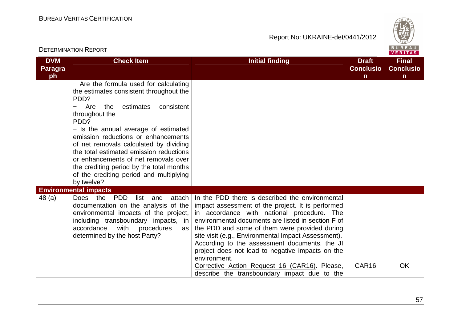

| <b>DETERMINATION REPORT</b>        |                                                                                                                                                                                                                                                                                                                                                                                                                                                                               |                                                                                                                                                                                                                                                                                                                                                                                                                                                                                                                                        |                                                  |                                       |  |
|------------------------------------|-------------------------------------------------------------------------------------------------------------------------------------------------------------------------------------------------------------------------------------------------------------------------------------------------------------------------------------------------------------------------------------------------------------------------------------------------------------------------------|----------------------------------------------------------------------------------------------------------------------------------------------------------------------------------------------------------------------------------------------------------------------------------------------------------------------------------------------------------------------------------------------------------------------------------------------------------------------------------------------------------------------------------------|--------------------------------------------------|---------------------------------------|--|
| <b>DVM</b><br><b>Paragra</b><br>ph | <b>Check Item</b>                                                                                                                                                                                                                                                                                                                                                                                                                                                             | <b>Initial finding</b>                                                                                                                                                                                                                                                                                                                                                                                                                                                                                                                 | <b>Draft</b><br><b>Conclusio</b><br>$\mathsf{n}$ | <b>Final</b><br><b>Conclusio</b><br>n |  |
|                                    | - Are the formula used for calculating<br>the estimates consistent throughout the<br>PDD?<br>Are<br>estimates<br>the<br>consistent<br>throughout the<br>PDD?<br>- Is the annual average of estimated<br>emission reductions or enhancements<br>of net removals calculated by dividing<br>the total estimated emission reductions<br>or enhancements of net removals over<br>the crediting period by the total months<br>of the crediting period and multiplying<br>by twelve? |                                                                                                                                                                                                                                                                                                                                                                                                                                                                                                                                        |                                                  |                                       |  |
|                                    | <b>Environmental impacts</b>                                                                                                                                                                                                                                                                                                                                                                                                                                                  |                                                                                                                                                                                                                                                                                                                                                                                                                                                                                                                                        |                                                  |                                       |  |
| 48 (a)                             | PDD<br>list<br>Does the<br>and<br>attach I<br>documentation on the analysis of the<br>environmental impacts of the project,<br>including transboundary impacts, in<br>accordance<br>with<br>procedures<br>as  <br>determined by the host Party?                                                                                                                                                                                                                               | In the PDD there is described the environmental<br>impact assessment of the project. It is performed<br>in accordance with national procedure. The<br>environmental documents are listed in section F of<br>the PDD and some of them were provided during<br>site visit (e.g., Environmental Impact Assessment).<br>According to the assessment documents, the JI<br>project does not lead to negative impacts on the<br>environment.<br>Corrective Action Request 16 (CAR16). Please,<br>describe the transboundary impact due to the | CAR <sub>16</sub>                                | OK                                    |  |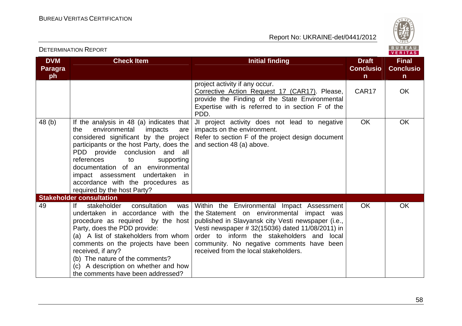

# BUREAU

| <b>DETERMINATION REPORT</b>        |                                                                                                                                                                                                                                                                                                                                                                                                          |                                                                                                                                                                                                                                                                                                                                       |                                                  |                                                  |  |
|------------------------------------|----------------------------------------------------------------------------------------------------------------------------------------------------------------------------------------------------------------------------------------------------------------------------------------------------------------------------------------------------------------------------------------------------------|---------------------------------------------------------------------------------------------------------------------------------------------------------------------------------------------------------------------------------------------------------------------------------------------------------------------------------------|--------------------------------------------------|--------------------------------------------------|--|
| <b>DVM</b><br><b>Paragra</b><br>ph | <b>Check Item</b>                                                                                                                                                                                                                                                                                                                                                                                        | <b>Initial finding</b>                                                                                                                                                                                                                                                                                                                | <b>Draft</b><br><b>Conclusio</b><br>$\mathsf{n}$ | <b>Final</b><br><b>Conclusio</b><br>$\mathsf{n}$ |  |
|                                    |                                                                                                                                                                                                                                                                                                                                                                                                          | project activity if any occur.<br>Corrective Action Request 17 (CAR17). Please,<br>provide the Finding of the State Environmental<br>Expertise with is referred to in section F of the<br>PDD.                                                                                                                                        | CAR17                                            | <b>OK</b>                                        |  |
| 48 (b)                             | If the analysis in 48 (a) indicates that<br>environmental<br>impacts<br>the<br>are<br>considered significant by the project<br>participants or the host Party, does the<br>PDD provide conclusion and all<br>references<br>to<br>supporting<br>documentation of an environmental<br>impact assessment undertaken<br>in<br>accordance with the procedures as<br>required by the host Party?               | JI project activity does not lead to negative<br>impacts on the environment.<br>Refer to section F of the project design document<br>and section 48 (a) above.                                                                                                                                                                        | <b>OK</b>                                        | <b>OK</b>                                        |  |
| 49                                 | <b>Stakeholder consultation</b><br>consultation<br>lf<br>stakeholder<br>was<br>undertaken in accordance with the<br>procedure as required by the host<br>Party, does the PDD provide:<br>(a) A list of stakeholders from whom<br>comments on the projects have been<br>received, if any?<br>(b) The nature of the comments?<br>(c) A description on whether and how<br>the comments have been addressed? | Within the Environmental Impact Assessment<br>the Statement on environmental impact was<br>published in Slavyansk city Vesti newspaper (i.e.,<br>Vesti newspaper # 32(15036) dated 11/08/2011) in<br>order to inform the stakeholders and local<br>community. No negative comments have been<br>received from the local stakeholders. | <b>OK</b>                                        | <b>OK</b>                                        |  |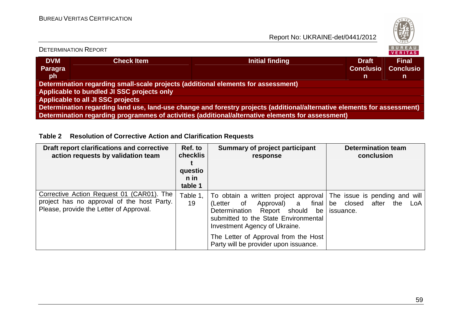

|                                                                                                                          | <b>DETERMINATION REPORT</b>                                                       |                 |                                  | BUREAU<br>VERITAS                |  |  |
|--------------------------------------------------------------------------------------------------------------------------|-----------------------------------------------------------------------------------|-----------------|----------------------------------|----------------------------------|--|--|
| <b>DVM</b><br>Paragra                                                                                                    | <b>Check Item</b>                                                                 | Initial finding | <b>Draft</b><br><b>Conclusio</b> | <b>Final</b><br><b>Conclusio</b> |  |  |
| <b>ph</b>                                                                                                                |                                                                                   |                 | n                                | n                                |  |  |
|                                                                                                                          | Determination regarding small-scale projects (additional elements for assessment) |                 |                                  |                                  |  |  |
| Applicable to bundled JI SSC projects only                                                                               |                                                                                   |                 |                                  |                                  |  |  |
| Applicable to all JI SSC projects                                                                                        |                                                                                   |                 |                                  |                                  |  |  |
| Determination regarding land use, land-use change and forestry projects (additional/alternative elements for assessment) |                                                                                   |                 |                                  |                                  |  |  |
| Determination regarding programmes of activities (additional/alternative elements for assessment)                        |                                                                                   |                 |                                  |                                  |  |  |

## **Table 2 Resolution of Corrective Action and Clarification Requests**

| Draft report clarifications and corrective<br>action requests by validation team                                                   | Ref. to<br>checklis<br>questio<br>n in<br>table 1 | <b>Summary of project participant</b><br>response                                                                                                                                                                                                                                                                    | <b>Determination team</b><br>conclusion |
|------------------------------------------------------------------------------------------------------------------------------------|---------------------------------------------------|----------------------------------------------------------------------------------------------------------------------------------------------------------------------------------------------------------------------------------------------------------------------------------------------------------------------|-----------------------------------------|
| Corrective Action Request 01 (CAR01). The<br>project has no approval of the host Party.<br>Please, provide the Letter of Approval. | Table 1,<br>19                                    | To obtain a written project approval The issue is pending and will<br>Approval) a final be closed after<br>(Letter of<br>Determination Report should<br>be<br>submitted to the State Environmental<br>Investment Agency of Ukraine.<br>The Letter of Approval from the Host<br>Party will be provider upon issuance. | the<br>LoA<br>issuance.                 |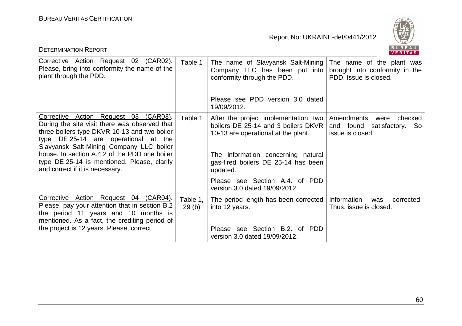

| <b>DETERMINATION REPORT</b>                                                                                                                                                                                                                                                                                                                                   |                   |                                                                                                                                                                                                                                                | BUREAU<br><b>VERITAS</b>                                                             |
|---------------------------------------------------------------------------------------------------------------------------------------------------------------------------------------------------------------------------------------------------------------------------------------------------------------------------------------------------------------|-------------------|------------------------------------------------------------------------------------------------------------------------------------------------------------------------------------------------------------------------------------------------|--------------------------------------------------------------------------------------|
| Corrective Action Request 02 (CAR02).<br>Please, bring into conformity the name of the<br>plant through the PDD.                                                                                                                                                                                                                                              | Table 1           | The name of Slavyansk Salt-Mining<br>Company LLC has been put into<br>conformity through the PDD.                                                                                                                                              | The name of the plant was<br>brought into conformity in the<br>PDD. Issue is closed. |
|                                                                                                                                                                                                                                                                                                                                                               |                   | Please see PDD version 3.0 dated<br>19/09/2012.                                                                                                                                                                                                |                                                                                      |
| Corrective Action Request 03 (CAR03).<br>During the site visit there was observed that<br>three boilers type DKVR 10-13 and two boiler<br>type DE 25-14 are operational at the<br>Slavyansk Salt-Mining Company LLC boiler<br>house. In section A.4.2 of the PDD one boiler<br>type DE 25-14 is mentioned. Please, clarify<br>and correct if it is necessary. | Table 1           | After the project implementation, two<br>boilers DE 25-14 and 3 boilers DKVR<br>10-13 are operational at the plant.<br>The information concerning natural<br>gas-fired boilers DE 25-14 has been<br>updated.<br>Please see Section A.4. of PDD | Amendments<br>checked<br>were<br>and found satisfactory. So<br>issue is closed.      |
|                                                                                                                                                                                                                                                                                                                                                               |                   | version 3.0 dated 19/09/2012.                                                                                                                                                                                                                  |                                                                                      |
| Corrective Action Request 04 (CAR04).<br>Please, pay your attention that in section B.2<br>the period 11 years and 10 months is<br>mentioned. As a fact, the crediting period of<br>the project is 12 years. Please, correct.                                                                                                                                 | Table 1.<br>29(b) | The period length has been corrected<br>into 12 years.<br>Please see Section B.2. of PDD<br>version 3.0 dated 19/09/2012.                                                                                                                      | Information<br>corrected.<br>was<br>Thus, issue is closed.                           |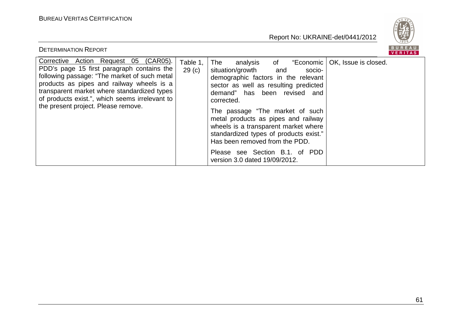

| <b>DETERMINATION REPORT</b>                                                                                                                                                                                                                                                                                              |                               | <b>BURFAL</b><br><b>VERITAS</b>                                                                                                                                                                                                                                                                                                                                                                                                                                                         |
|--------------------------------------------------------------------------------------------------------------------------------------------------------------------------------------------------------------------------------------------------------------------------------------------------------------------------|-------------------------------|-----------------------------------------------------------------------------------------------------------------------------------------------------------------------------------------------------------------------------------------------------------------------------------------------------------------------------------------------------------------------------------------------------------------------------------------------------------------------------------------|
| Corrective Action Request 05 (CAR05).<br>PDD's page 15 first paragraph contains the<br>following passage: "The market of such metal<br>products as pipes and railway wheels is a<br>transparent market where standardized types<br>of products exist.", which seems irrelevant to<br>the present project. Please remove. | Table 1.<br>29 <sub>(c)</sub> | The<br>analysis of "Economic   OK, Issue is closed.<br>situation/growth<br>and<br>socio-<br>demographic factors in the relevant<br>sector as well as resulting predicted<br>demand" has been revised and<br>corrected.<br>The passage "The market of such<br>metal products as pipes and railway<br>wheels is a transparent market where<br>standardized types of products exist."<br>Has been removed from the PDD.<br>Please see Section B.1. of PDD<br>version 3.0 dated 19/09/2012. |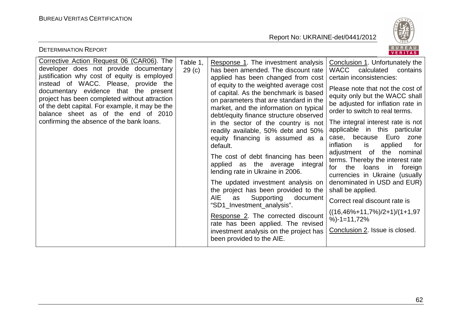

| <b>DETERMINATION REPORT</b>                                                                                                                                                                                                                                                                                                                                                                                  |                               |                                                                                                                                                                                                                                                                                                                                                                                                                                                                                                                                                                                                                                                                                                                                                                                                                                                                                            | BUREAU<br><b>VERITAS</b>                                                                                                                                                                                                                                                                                                                                                                                                                                                                                                                                                                                                                                                                                       |
|--------------------------------------------------------------------------------------------------------------------------------------------------------------------------------------------------------------------------------------------------------------------------------------------------------------------------------------------------------------------------------------------------------------|-------------------------------|--------------------------------------------------------------------------------------------------------------------------------------------------------------------------------------------------------------------------------------------------------------------------------------------------------------------------------------------------------------------------------------------------------------------------------------------------------------------------------------------------------------------------------------------------------------------------------------------------------------------------------------------------------------------------------------------------------------------------------------------------------------------------------------------------------------------------------------------------------------------------------------------|----------------------------------------------------------------------------------------------------------------------------------------------------------------------------------------------------------------------------------------------------------------------------------------------------------------------------------------------------------------------------------------------------------------------------------------------------------------------------------------------------------------------------------------------------------------------------------------------------------------------------------------------------------------------------------------------------------------|
| Corrective Action Request 06 (CAR06). The<br>developer does not provide documentary<br>justification why cost of equity is employed<br>instead of WACC. Please, provide the<br>documentary evidence that the present<br>project has been completed without attraction<br>of the debt capital. For example, it may be the<br>balance sheet as of the end of 2010<br>confirming the absence of the bank loans. | Table 1,<br>29 <sub>(c)</sub> | Response 1. The investment analysis<br>has been amended. The discount rate<br>applied has been changed from cost<br>of equity to the weighted average cost<br>of capital. As the benchmark is based<br>on parameters that are standard in the<br>market, and the information on typical<br>debt/equity finance structure observed<br>in the sector of the country is not<br>readily available, 50% debt and 50%<br>equity financing is assumed as a<br>default.<br>The cost of debt financing has been<br>applied as the average integral<br>lending rate in Ukraine in 2006.<br>The updated investment analysis on<br>the project has been provided to the<br><b>AIE</b><br>Supporting<br>as<br>document<br>"SD1_Investment_analysis".<br>Response 2. The corrected discount<br>rate has been applied. The revised<br>investment analysis on the project has<br>been provided to the AIE. | Conclusion 1. Unfortunately the<br>WACC calculated<br>contains<br>certain inconsistencies:<br>Please note that not the cost of<br>equity only but the WACC shall<br>be adjusted for inflation rate in<br>order to switch to real terms.<br>The integral interest rate is not<br>applicable in this particular<br>case, because Euro<br>zone<br>inflation<br>applied<br>is<br>for<br>adjustment of<br>the nominal<br>terms. Thereby the interest rate<br>the<br>loans in<br>for<br>foreign<br>currencies in Ukraine (usually<br>denominated in USD and EUR)<br>shall be applied.<br>Correct real discount rate is<br>$((16,46\% + 11,7\%)/2 + 1)/(1 + 1,97)$<br>$%$ -1=11,72%<br>Conclusion 2. Issue is closed. |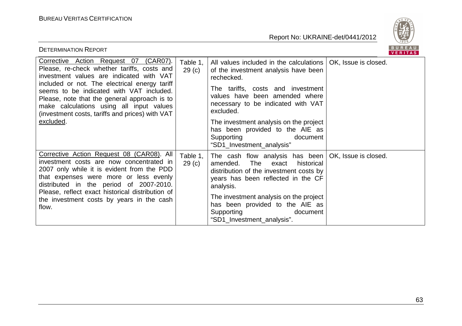

| <b>DETERMINATION REPORT</b>                                                                                                                                                                                                                                                                                                                                                               |                               |                                                                                                                                                                                                                                                                                                                                                             | B U K E A U<br>VERITAS |
|-------------------------------------------------------------------------------------------------------------------------------------------------------------------------------------------------------------------------------------------------------------------------------------------------------------------------------------------------------------------------------------------|-------------------------------|-------------------------------------------------------------------------------------------------------------------------------------------------------------------------------------------------------------------------------------------------------------------------------------------------------------------------------------------------------------|------------------------|
| Corrective Action Request 07 (CAR07).<br>Please, re-check whether tariffs, costs and<br>investment values are indicated with VAT<br>included or not. The electrical energy tariff<br>seems to be indicated with VAT included.<br>Please, note that the general approach is to<br>make calculations using all input values<br>(investment costs, tariffs and prices) with VAT<br>excluded. | Table 1,<br>29 <sub>(c)</sub> | All values included in the calculations<br>of the investment analysis have been<br>rechecked.<br>The tariffs, costs and investment<br>values have been amended where<br>necessary to be indicated with VAT<br>excluded.<br>The investment analysis on the project<br>has been provided to the AIE as<br>Supporting<br>document<br>"SD1_Investment_analysis" | OK, Issue is closed.   |
| Corrective Action Request 08 (CAR08). All<br>investment costs are now concentrated in<br>2007 only while it is evident from the PDD<br>that expenses were more or less evenly<br>distributed in the period of 2007-2010.<br>Please, reflect exact historical distribution of<br>the investment costs by years in the cash<br>flow.                                                        | Table 1,<br>29(c)             | The cash flow analysis has been   OK, Issue is closed.<br>historical<br>amended.<br>The<br>exact<br>distribution of the investment costs by<br>years has been reflected in the CF<br>analysis.<br>The investment analysis on the project<br>has been provided to the AIE as<br>Supporting<br>document<br>"SD1_Investment_analysis".                         |                        |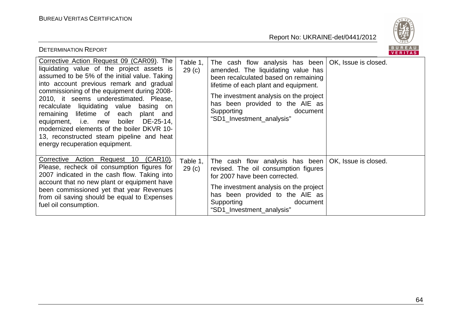

| <b>DETERMINATION REPORT</b>                                                                                                                                                                                                                                                                                                                                                                                                                                                                                                              |                               |                                                                                                                                                                                                                                                                                            | BUREAU<br>VERITAS    |
|------------------------------------------------------------------------------------------------------------------------------------------------------------------------------------------------------------------------------------------------------------------------------------------------------------------------------------------------------------------------------------------------------------------------------------------------------------------------------------------------------------------------------------------|-------------------------------|--------------------------------------------------------------------------------------------------------------------------------------------------------------------------------------------------------------------------------------------------------------------------------------------|----------------------|
| Corrective Action Request 09 (CAR09). The<br>liquidating value of the project assets is<br>assumed to be 5% of the initial value. Taking<br>into account previous remark and gradual<br>commissioning of the equipment during 2008-<br>2010, it seems underestimated. Please,<br>recalculate liquidating value basing on<br>remaining lifetime of each<br>plant and<br>equipment, i.e. new boiler DE-25-14,<br>modernized elements of the boiler DKVR 10-<br>13, reconstructed steam pipeline and heat<br>energy recuperation equipment. | Table 1.<br>29 <sub>(c)</sub> | The cash flow analysis has been<br>amended. The liquidating value has<br>been recalculated based on remaining<br>lifetime of each plant and equipment.<br>The investment analysis on the project<br>has been provided to the AIE as<br>Supporting<br>document<br>"SD1_Investment_analysis" | OK, Issue is closed. |
| Corrective Action Request 10 (CAR10).<br>Please, recheck oil consumption figures for<br>2007 indicated in the cash flow. Taking into<br>account that no new plant or equipment have<br>been commissioned yet that year Revenues<br>from oil saving should be equal to Expenses<br>fuel oil consumption.                                                                                                                                                                                                                                  | Table 1,<br>29 <sub>(c)</sub> | The cash flow analysis has been $\overline{OK}$ , Issue is closed.<br>revised. The oil consumption figures<br>for 2007 have been corrected.<br>The investment analysis on the project<br>has been provided to the AIE as<br>Supporting<br>document<br>"SD1_Investment_analysis"            |                      |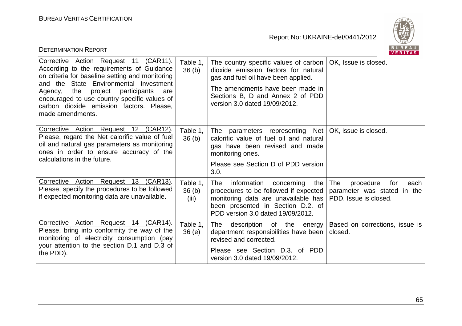

| BUREAU<br><b>DETERMINATION REPORT</b><br><b>VERITAS</b>                                                                                                                                                                                                                                                                                             |                                        |                                                                                                                                                                                                                               |                                                                                         |  |
|-----------------------------------------------------------------------------------------------------------------------------------------------------------------------------------------------------------------------------------------------------------------------------------------------------------------------------------------------------|----------------------------------------|-------------------------------------------------------------------------------------------------------------------------------------------------------------------------------------------------------------------------------|-----------------------------------------------------------------------------------------|--|
| Corrective Action Request 11 (CAR11).<br>According to the requirements of Guidance<br>on criteria for baseline setting and monitoring<br>and the State Environmental Investment<br>participants<br>Agency,<br>the<br>project<br>are<br>encouraged to use country specific values of<br>carbon dioxide emission factors. Please,<br>made amendments. | Table 1,<br>36 <sub>(b)</sub>          | The country specific values of carbon<br>dioxide emission factors for natural<br>gas and fuel oil have been applied.<br>The amendments have been made in<br>Sections B, D and Annex 2 of PDD<br>version 3.0 dated 19/09/2012. | OK, Issue is closed.                                                                    |  |
| Corrective Action Request 12 (CAR12).<br>Please, regard the Net calorific value of fuel<br>oil and natural gas parameters as monitoring<br>ones in order to ensure accuracy of the<br>calculations in the future.                                                                                                                                   | Table 1,<br>36(b)                      | The parameters representing Net<br>calorific value of fuel oil and natural<br>gas have been revised and made<br>monitoring ones.<br>Please see Section D of PDD version<br>3.0.                                               | OK, issue is closed.                                                                    |  |
| Corrective Action Request 13 (CAR13).<br>Please, specify the procedures to be followed<br>if expected monitoring data are unavailable.                                                                                                                                                                                                              | Table 1,<br>36 <sub>(b)</sub><br>(iii) | information<br>The<br>concerning<br>the<br>procedures to be followed if expected  <br>monitoring data are unavailable has<br>been presented in Section D.2. of<br>PDD version 3.0 dated 19/09/2012.                           | The<br>procedure<br>for<br>each<br>parameter was stated in the<br>PDD. Issue is closed. |  |
| Corrective Action Request 14 (CAR14).<br>Please, bring into conformity the way of the<br>monitoring of electricity consumption (pay<br>your attention to the section D.1 and D.3 of<br>the PDD).                                                                                                                                                    | Table 1,<br>36(e)                      | description of the energy<br>The<br>department responsibilities have been<br>revised and corrected.<br>Please see Section D.3. of PDD<br>version 3.0 dated 19/09/2012.                                                        | Based on corrections, issue is<br>closed.                                               |  |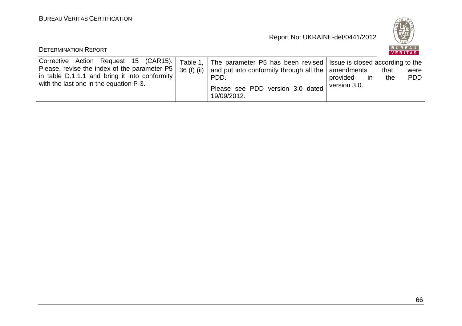**BUREAU** 

| <b>DETERMINATION REPORT</b>                                                                                                                                                      |                          |                                                                                                                                                                                               |                                       |             | BUREAU<br><b>VERITAS</b> |
|----------------------------------------------------------------------------------------------------------------------------------------------------------------------------------|--------------------------|-----------------------------------------------------------------------------------------------------------------------------------------------------------------------------------------------|---------------------------------------|-------------|--------------------------|
| Corrective Action Request 15 (CAR15).<br>Please, revise the index of the parameter P5<br>in table D.1.1.1 and bring it into conformity<br>with the last one in the equation P-3. | Table 1.<br>$36(f)$ (ii) | The parameter P5 has been revised   Issue is closed according to the<br>and put into conformity through all the $\vert$ amendments<br>PDD.<br>Please see PDD version 3.0 dated<br>19/09/2012. | provided<br><i>in</i><br>version 3.0. | that<br>the | were<br><b>PDD</b>       |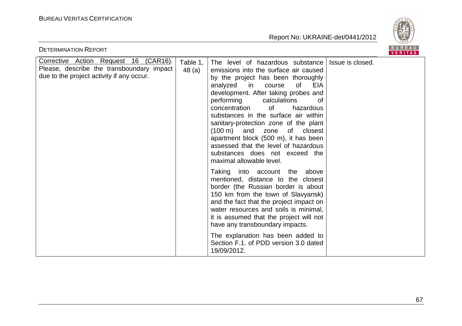

| <b>DETERMINATION REPORT</b>                                                                                                     |                   |                                                                                                                                                                                                                                                                                                                                                                                                                                                                                                                                                                            | BUREAU<br>VERITAS |
|---------------------------------------------------------------------------------------------------------------------------------|-------------------|----------------------------------------------------------------------------------------------------------------------------------------------------------------------------------------------------------------------------------------------------------------------------------------------------------------------------------------------------------------------------------------------------------------------------------------------------------------------------------------------------------------------------------------------------------------------------|-------------------|
| Corrective Action Request 16 (CAR16).<br>Please, describe the transboundary impact<br>due to the project activity if any occur. | Table 1,<br>48(a) | The level of hazardous substance<br>emissions into the surface air caused<br>by the project has been thoroughly<br><b>EIA</b><br>analyzed<br>in<br>0f<br>course<br>development. After taking probes and<br>performing<br>calculations<br>0f<br>concentration<br><b>of</b><br>hazardous<br>substances in the surface air within<br>sanitary-protection zone of the plant<br>$(100 \text{ m})$<br>and<br>of<br>zone<br>closest<br>apartment block (500 m), it has been<br>assessed that the level of hazardous<br>substances does not exceed the<br>maximal allowable level. | Issue is closed.  |
|                                                                                                                                 |                   | Taking into account the<br>above<br>mentioned, distance to the closest<br>border (the Russian border is about<br>150 km from the town of Slavyansk)<br>and the fact that the project impact on<br>water resources and soils is minimal,<br>it is assumed that the project will not<br>have any transboundary impacts.<br>The explanation has been added to<br>Section F.1. of PDD version 3.0 dated<br>19/09/2012.                                                                                                                                                         |                   |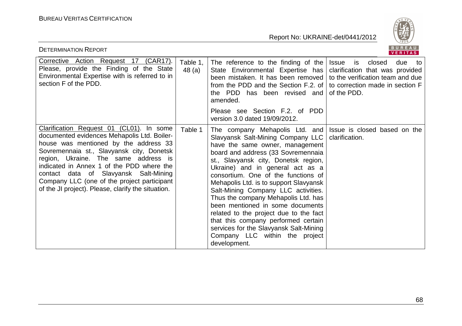

| <b>DETERMINATION REPORT</b>                                                                                                                                                                                                                                                                                                                                                                                      |                   |                                                                                                                                                                                                                                                                                                                                                                                                                                                                                                                                                                                                                                       | BUREAU<br><b>VERITAS</b>                                                                                                         |
|------------------------------------------------------------------------------------------------------------------------------------------------------------------------------------------------------------------------------------------------------------------------------------------------------------------------------------------------------------------------------------------------------------------|-------------------|---------------------------------------------------------------------------------------------------------------------------------------------------------------------------------------------------------------------------------------------------------------------------------------------------------------------------------------------------------------------------------------------------------------------------------------------------------------------------------------------------------------------------------------------------------------------------------------------------------------------------------------|----------------------------------------------------------------------------------------------------------------------------------|
| Corrective Action Request 17<br>(CAR17).<br>Please, provide the Finding of the State<br>Environmental Expertise with is referred to in<br>section F of the PDD.                                                                                                                                                                                                                                                  | Table 1,<br>48(a) | The reference to the finding of the $ $<br>State Environmental Expertise has<br>been mistaken. It has been removed<br>from the PDD and the Section F.2. of to correction made in section F<br>the PDD has been revised and<br>amended.<br>Please see Section F.2. of PDD<br>version 3.0 dated 19/09/2012.                                                                                                                                                                                                                                                                                                                             | due<br><b>Issue</b><br>is<br>closed<br>to:<br>clarification that was provided<br>to the verification team and due<br>of the PDD. |
| Clarification Request 01 (CL01). In some<br>documented evidences Mehapolis Ltd. Boiler-<br>house was mentioned by the address 33<br>Sovremennaia st., Slavyansk city, Donetsk<br>region, Ukraine. The same address is<br>indicated in Annex 1 of the PDD where the<br>contact data of Slavyansk Salt-Mining<br>Company LLC (one of the project participant<br>of the JI project). Please, clarify the situation. | Table 1           | The company Mehapolis Ltd. and Issue is closed based on the<br>Slavyansk Salt-Mining Company LLC<br>have the same owner, management<br>board and address (33 Sovremennaia<br>st., Slavyansk city, Donetsk region,<br>Ukraine) and in general act as a<br>consortium. One of the functions of<br>Mehapolis Ltd. is to support Slavyansk<br>Salt-Mining Company LLC activities.<br>Thus the company Mehapolis Ltd. has<br>been mentioned in some documents<br>related to the project due to the fact<br>that this company performed certain<br>services for the Slavyansk Salt-Mining<br>Company LLC within the project<br>development. | clarification.                                                                                                                   |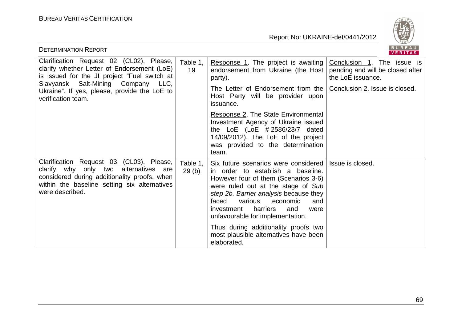

| BUREAU<br><b>DETERMINATION REPORT</b><br><b>VERITAS</b>                                                                                                                                                                                             |                   |                                                                                                                                                                                                                                                                                                                                                               |                                                                                                                       |  |
|-----------------------------------------------------------------------------------------------------------------------------------------------------------------------------------------------------------------------------------------------------|-------------------|---------------------------------------------------------------------------------------------------------------------------------------------------------------------------------------------------------------------------------------------------------------------------------------------------------------------------------------------------------------|-----------------------------------------------------------------------------------------------------------------------|--|
| Clarification Request 02 (CL02). Please,<br>clarify whether Letter of Endorsement (LoE)<br>is issued for the JI project "Fuel switch at<br>Slavyansk Salt-Mining Company LLC,<br>Ukraine". If yes, please, provide the LoE to<br>verification team. | Table 1,<br>19    | Response 1. The project is awaiting<br>endorsement from Ukraine (the Host<br>party).<br>The Letter of Endorsement from the                                                                                                                                                                                                                                    | Conclusion 1. The issue is<br>pending and will be closed after<br>the LoE issuance.<br>Conclusion 2. Issue is closed. |  |
|                                                                                                                                                                                                                                                     |                   | Host Party will be provider upon<br>issuance.                                                                                                                                                                                                                                                                                                                 |                                                                                                                       |  |
|                                                                                                                                                                                                                                                     |                   | Response 2. The State Environmental<br>Investment Agency of Ukraine issued<br>the $\text{LoE}$ (LoE # 2586/23/7 dated<br>14/09/2012). The LoE of the project<br>was provided to the determination<br>team.                                                                                                                                                    |                                                                                                                       |  |
| Clarification Request 03 (CL03). Please,<br>clarify why only two<br>alternatives are<br>considered during additionality proofs, when<br>within the baseline setting six alternatives<br>were described.                                             | Table 1,<br>29(b) | Six future scenarios were considered<br>in order to establish a baseline.<br>However four of them (Scenarios 3-6)<br>were ruled out at the stage of Sub<br>step 2b. Barrier analysis because they<br>faced<br>various<br>economic<br>and<br>barriers<br>investment<br>and<br>were<br>unfavourable for implementation.<br>Thus during additionality proofs two | Issue is closed.                                                                                                      |  |
|                                                                                                                                                                                                                                                     |                   | most plausible alternatives have been<br>elaborated.                                                                                                                                                                                                                                                                                                          |                                                                                                                       |  |